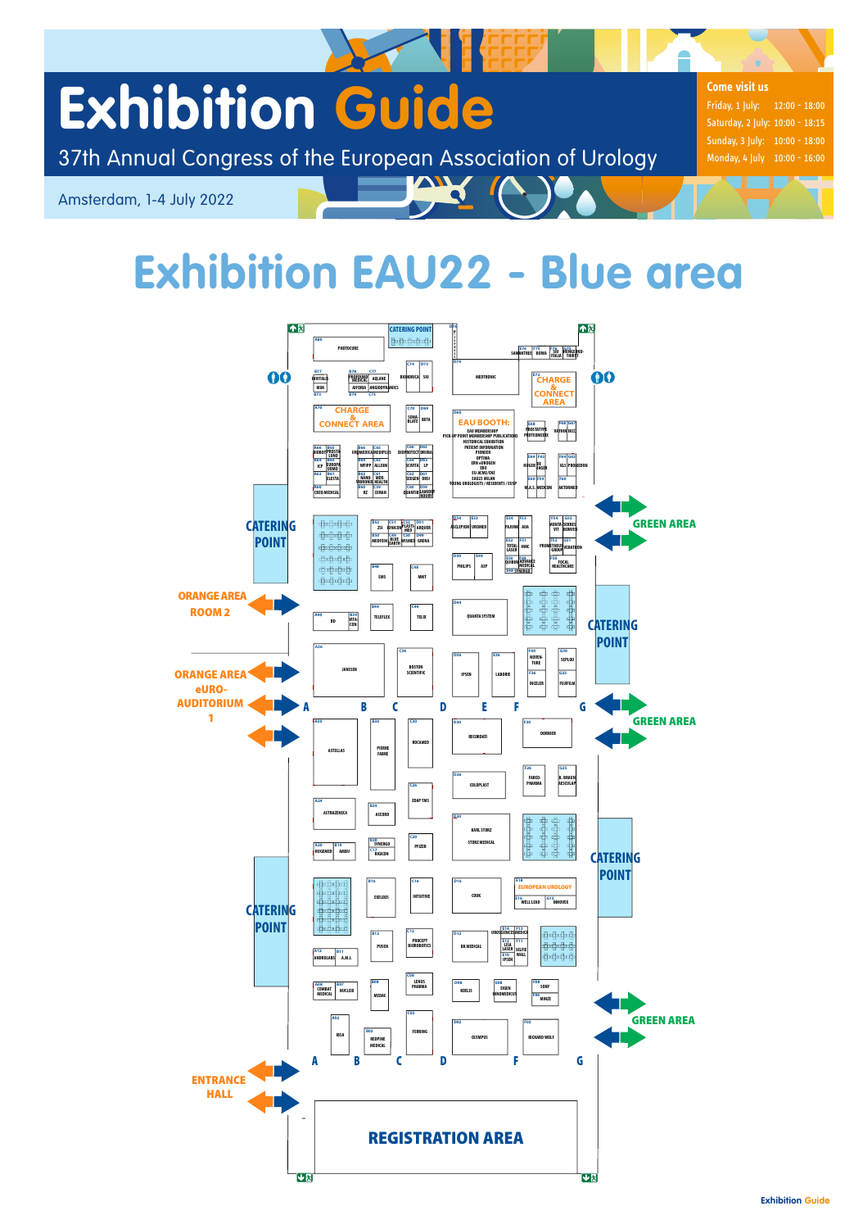**Exhibition Guide**

37th Annual Congress of the European Association of Urology

Amsterdam, 1-4 July 2022

# **Exhibition EAU22 - Blue area**

W A

# **Exhibition Guide**

**Come visit us**

Friday, 1 July: 12:00 - 18:00 Saturday, 2 July: 10:00 - 18:15 Sunday, 3 July: 10:00 - 18:00 Monday, 4 July 10:00 - 16:00

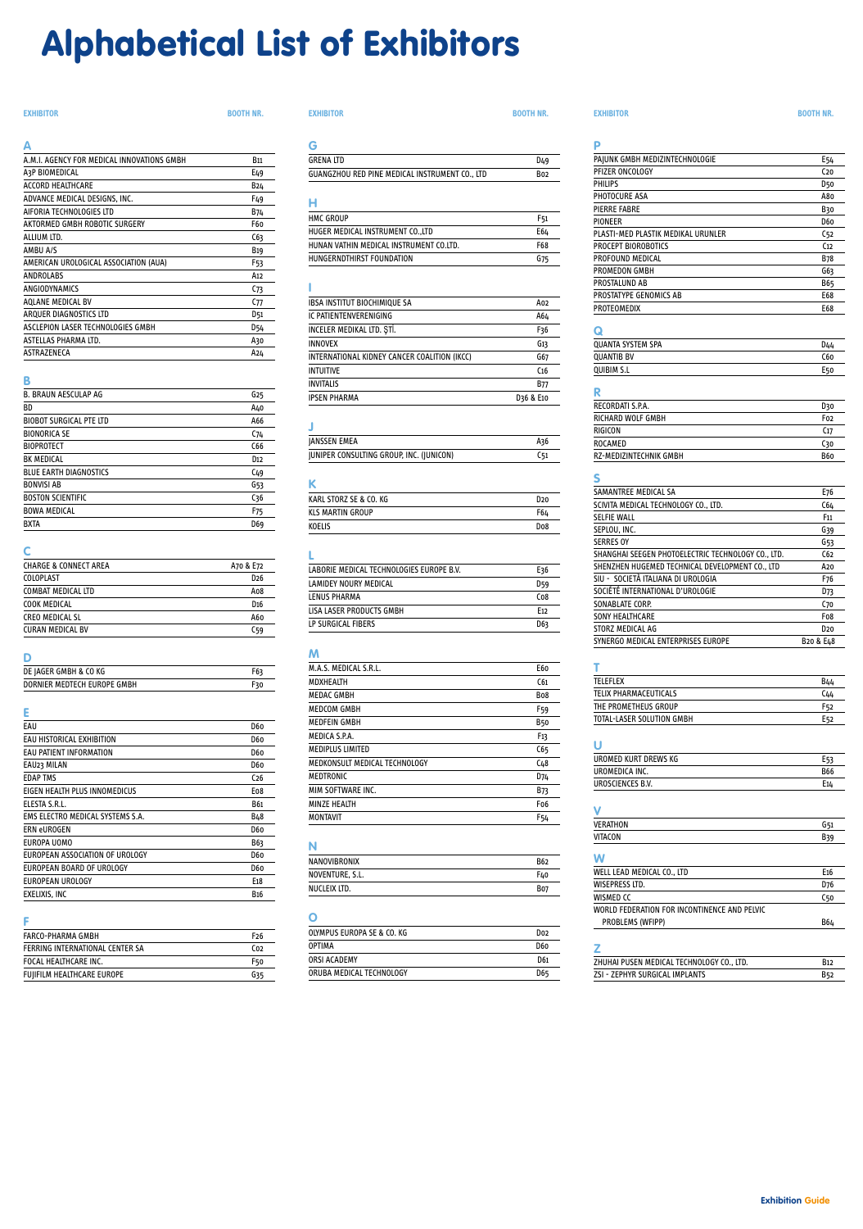## **Alphabetical List of Exhibitors**

| Δ                                          |             |
|--------------------------------------------|-------------|
| A.M.I. AGENCY FOR MEDICAL INNOVATIONS GMBH | <b>B</b> 11 |
| A3P BIOMEDICAL                             | E49         |
| <b>ACCORD HEAITHCARE</b>                   | B24         |
| ADVANCE MEDICAL DESIGNS, INC.              | F49         |
| AIFORIA TECHNOLOGIES LTD                   | B74         |
| AKTORMED GMBH ROBOTIC SURGERY              | F60         |
| ALLIUM LTD.                                | C63         |
| AMBU A/S                                   | <b>B19</b>  |
| AMERICAN UROLOGICAL ASSOCIATION (AUA)      | F53         |
| ANDROLABS                                  | A12         |
| ANGIODYNAMICS                              | C73         |
| AQLANE MEDICAL BV                          | C77         |
| ARQUER DIAGNOSTICS LTD                     | D51         |
| ASCLEPION LASER TECHNOLOGIES GMBH          | D54         |
| ASTELLAS PHARMA LTD.                       | A30         |
| ASTRAZENECA                                | A24         |

#### **B**

| <b>B. BRAUN AESCULAP AG</b>    | G25             |
|--------------------------------|-----------------|
| ВD                             | A40             |
| <b>BIOBOT SURGICAL PTE LTD</b> | A66             |
| <b>BIONORICA SE</b>            | C74             |
| <b>BIOPROTECT</b>              | C <sub>66</sub> |
| <b>BK MEDICAL</b>              | D <sub>12</sub> |
| <b>BLUE EARTH DIAGNOSTICS</b>  | C <sub>49</sub> |
| <b>BONVISI AB</b>              | G53             |
| <b>BOSTON SCIENTIFIC</b>       | C <sub>36</sub> |
| <b>BOWA MEDICAL</b>            | F <sub>75</sub> |
| <b>BXTA</b>                    | D69             |

#### **C**

| CHARGE & CONNECT AREA   | A70 & E72       |
|-------------------------|-----------------|
| COLOPLAST               | D <sub>26</sub> |
| COMBAT MEDICAL LTD      | Ao8             |
| COOK MEDICAL            | D <sub>16</sub> |
| CREO MEDICAL SL         | A60             |
| <b>CURAN MEDICAL BV</b> | C59             |

#### **D**

| DE JAGER GMBH & CO KG       | F63 |
|-----------------------------|-----|
| DORNIER MEDTECH EUROPE GMBH |     |

### **E**

| EAU                              | D60              |
|----------------------------------|------------------|
| EAU HISTORICAL EXHIBITION        | D60              |
| EAU PATIENT INFORMATION          | D60              |
| EAU23 MILAN                      | D60              |
| <b>EDAP TMS</b>                  | C <sub>26</sub>  |
| EIGEN HEALTH PLUS INNOMEDICUS    | Eo8              |
| ELESTA S.R.L.                    | <b>B61</b>       |
| EMS ELECTRO MEDICAL SYSTEMS S.A. | B48              |
| <b>FRN eUROGEN</b>               | D60              |
| EUROPA UOMO                      | B63              |
| EUROPEAN ASSOCIATION OF UROLOGY  | D60              |
| EUROPEAN BOARD OF UROLOGY        | D60              |
| EUROPEAN UROLOGY                 | E <sub>1</sub> 8 |
| EXELIXIS, INC                    | <b>B16</b>       |

| FARCO-PHARMA GMBH               | F26             |
|---------------------------------|-----------------|
| FERRING INTERNATIONAL CENTER SA | C <sub>02</sub> |
| FOCAL HEALTHCARE INC.           | F50             |
| FUJIFILM HEALTHCARE EUROPE      | G35             |

| <b>GRENA ITD</b>                               | D49 |
|------------------------------------------------|-----|
| GUANGZHOU RED PINE MEDICAL INSTRUMENT CO., LTD | Bo2 |

#### **H**

| HMC GROUP                               | F51 |
|-----------------------------------------|-----|
| HUGER MEDICAL INSTRUMENT COLTD          | E64 |
| HUNAN VATHIN MEDICAL INSTRUMENT CO.LTD. | F68 |
| HUNGERNDTHIRST FOUNDATION               | G75 |

#### **I**

| <b>IBSA INSTITUT BIOCHIMIQUE SA</b>          | A02             |
|----------------------------------------------|-----------------|
| IC PATIENTENVERENIGING                       | A64             |
| INCELER MEDIKAL LTD. STİ.                    | F36             |
| <b>INNOVEX</b>                               | G13             |
| INTERNATIONAL KIDNEY CANCER COALITION (IKCC) | G67             |
| <b>INTUITIVE</b>                             | C <sub>16</sub> |
| <b>INVITALIS</b>                             | <b>B77</b>      |
| <b>IPSEN PHARMA</b>                          | D36 & E10       |

#### **J**

| <b>JANSSEN EMEA</b>                      | A36 |
|------------------------------------------|-----|
| JUNIPER CONSULTING GROUP, INC. (JUNICON) | C51 |

#### **K**

| KARL STORZ SE & CO. KG  | D <sub>20</sub> |
|-------------------------|-----------------|
| <b>KLS MARTIN GROUP</b> | F64             |
| <b>KOELIS</b>           | Do8             |

#### **L**

| LABORIE MEDICAL TECHNOLOGIES EUROPE B.V. | E36             |
|------------------------------------------|-----------------|
| LAMIDEY NOURY MEDICAL                    | D59             |
| LENUS PHARMA                             | C <sub>08</sub> |
| LISA LASER PRODUCTS GMBH                 | F <sub>12</sub> |
| LP SURGICAL FIBERS                       | D63             |

#### **M**

| M.A.S. MEDICAL S.R.L.         | E60             |
|-------------------------------|-----------------|
| <b>MDXHEALTH</b>              | C61             |
| <b>MEDAC GMBH</b>             | <b>Bo8</b>      |
| MEDCOM GMBH                   | F <sub>59</sub> |
| <b>MEDFEIN GMBH</b>           | <b>B50</b>      |
| MEDICA S.P.A.                 | F <sub>13</sub> |
| <b>MEDIPLUS LIMITED</b>       | C65             |
| MEDKONSULT MEDICAL TECHNOLOGY | C <sub>48</sub> |
| <b>MEDTRONIC</b>              | D74             |
| MIM SOFTWARE INC.             | B73             |
| <b>MINZE HEALTH</b>           | Fo <sub>6</sub> |
| <b>MONTAVIT</b>               | F54             |
|                               |                 |

#### **N**

| NANOVIBRONIX    | <b>B62</b> |
|-----------------|------------|
| NOVENTURE, S.L. | F40        |
| NUCLEIX LTD.    | B07        |
|                 |            |

### **P**

**O** 

| OLYMPUS EUROPA SE & CO. KG | Do2 |
|----------------------------|-----|
| <b>OPTIMA</b>              | D60 |
| ORSI ACADEMY               | D61 |
| ORUBA MEDICAL TECHNOLOGY   | D65 |

| PAJUNK GMBH MEDIZINTECHNOLOGIE     | E54             |
|------------------------------------|-----------------|
| PFIZER ONCOLOGY                    | C <sub>20</sub> |
| PHILIPS                            | D50             |
| PHOTOCURE ASA                      | A80             |
| PIFRRF FABRF                       | B30             |
| PIONEER                            | D60             |
| PLASTI-MED PLASTIK MEDIKAL URUNLER | C <sub>52</sub> |
| PROCEPT BIOROBOTICS                | C <sub>12</sub> |
| PROFOUND MEDICAL                   | <b>B78</b>      |
| PROMEDON GMBH                      | G63             |
| PROSTALUND AB                      | B65             |
| PROSTATYPE GENOMICS AB             | E68             |
| <b>PROTEOMEDIX</b>                 | E68             |
|                                    |                 |

#### **Q**

| QUANTA SYSTEM SPA | D44 |
|-------------------|-----|
| <b>QUANTIB BV</b> | C60 |
| <b>QUIBIM S.L</b> | E50 |
|                   |     |

#### **R**

| RECORDATI S.P.A.       | D30             |
|------------------------|-----------------|
| RICHARD WOLF GMBH      | Fo <sub>2</sub> |
| RIGICON                | C <sub>17</sub> |
| ROCAMED                | C30             |
| RZ-MEDIZINTECHNIK GMBH | <b>B60</b>      |

#### **S**

| SAMANTREE MEDICAL SA                               | E76                               |
|----------------------------------------------------|-----------------------------------|
| SCIVITA MEDICAL TECHNOLOGY CO., LTD.               | C64                               |
| <b>SELFIE WALL</b>                                 | F <sub>11</sub>                   |
| SEPLOU. INC.                                       | G39                               |
| <b>SERRES OY</b>                                   | G53                               |
| SHANGHAI SEEGEN PHOTOELECTRIC TECHNOLOGY CO., LTD. | C62                               |
| SHENZHEN HUGEMED TECHNICAL DEVELOPMENT CO., LTD    | A20                               |
| SIU - SOCIETÀ ITALIANA DI UROLOGIA                 | F76                               |
| SOCIÉTÉ INTERNATIONAL D'UROLOGIE                   | D73                               |
| SONABLATE CORP.                                    | C70                               |
| <b>SONY HEALTHCARE</b>                             | Fo8                               |
| STORZ MEDICAL AG                                   | D20                               |
| SYNERGO MEDICAL ENTERPRISES EUROPE                 | B <sub>20</sub> & E <sub>48</sub> |
|                                                    |                                   |

#### **T**

| TEI FFI EX                | B44 |
|---------------------------|-----|
| TELIX PHARMACEUTICALS     | C44 |
| THE PROMETHEUS GROUP      | F52 |
| TOTAL-LASER SOLUTION GMBH | E52 |

#### **U**

| UROMED KURT DREWS KG |            |
|----------------------|------------|
| UROMEDICA INC.       | <b>B66</b> |
| UROSCIENCES B.V.     |            |

#### **V**

| VERATHON | G E 1<br>בכ<br>u |
|----------|------------------|
| VITACON  | D <sub>2</sub>   |
|          |                  |

| W                                            |                 |
|----------------------------------------------|-----------------|
| WELL LEAD MEDICAL CO., LTD                   | E <sub>16</sub> |
| WISEPRESS ITD.                               | D76             |
| WISMED CC                                    | C50             |
| WORLD FEDERATION FOR INCONTINENCE AND PEIVIC |                 |
| PROBLEMS (WFIPP)                             | B64             |

| ZHUHAI PUSEN MEDICAL TECHNOLOGY CO LTD. | R12 |
|-----------------------------------------|-----|
| ZSI - ZEPHYR SURGICAL IMPLANTS          | B52 |

#### **EXHIBITOR BOOTH NR. EXHIBITOR BOOTH NR. EXHIBITOR BOOTH NR.**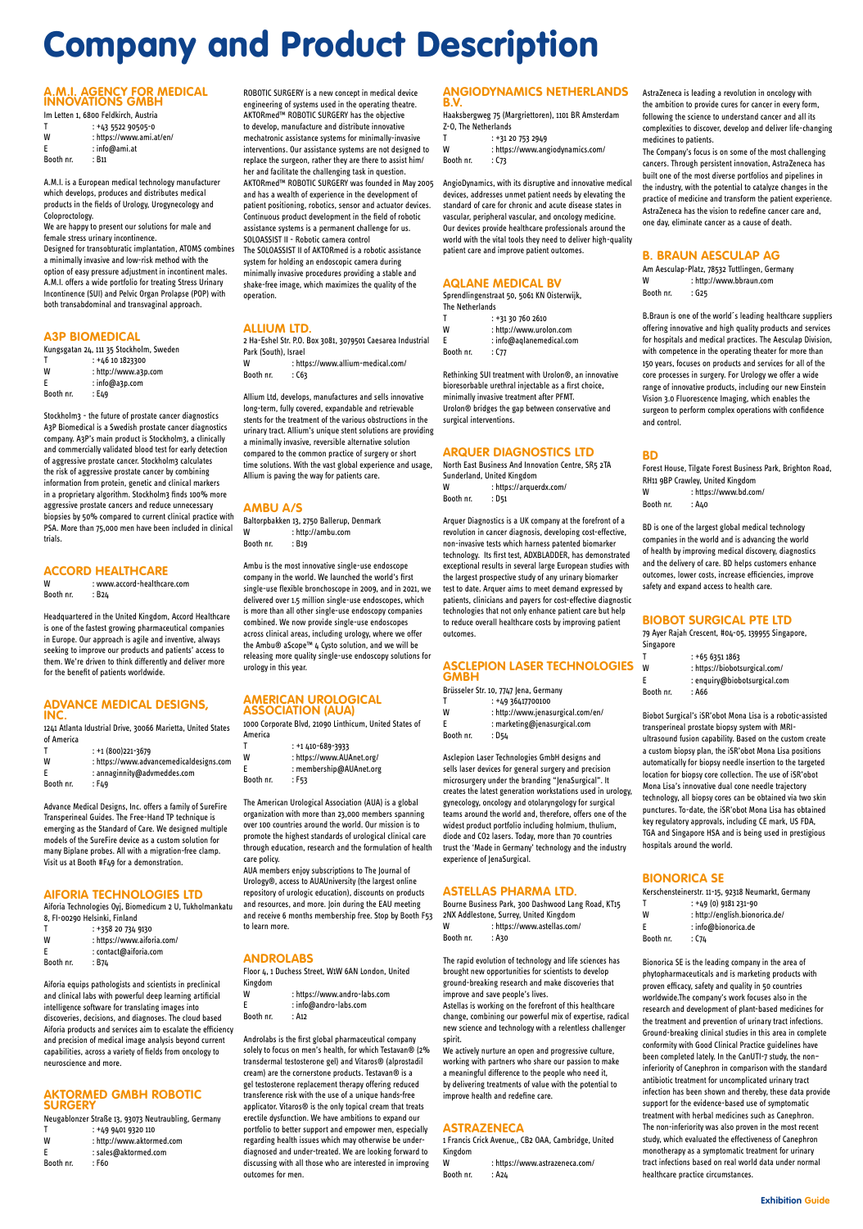#### **A.M.I. AGENCY FOR MEDICAL INNOVATIONS GMBH**

| Im Letten 1, 6800 Feldkirch, Austria |                          |  |  |
|--------------------------------------|--------------------------|--|--|
| Т                                    | $: +43522905050$         |  |  |
| W                                    | : https://www.ami.at/en/ |  |  |
| F                                    | : info@ami.at            |  |  |
| Booth nr.                            | : B11                    |  |  |

A.M.I. is a European medical technology manufacturer which develops, produces and distributes medical products in the fields of Urology, Urogynecology and Coloproctology.

We are happy to present our solutions for male and female stress urinary incontinence. Designed for transobturatic implantation, ATOMS combines a minimally invasive and low-risk method with the option of easy pressure adjustment in incontinent males. A.M.I. offers a wide portfolio for treating Stress Urinary Incontinence (SUI) and Pelvic Organ Prolapse (POP) with both transabdominal and transvaginal approach.

W : www.accord-healthcare.com Booth nr. : B24

#### **A3P BIOMEDICAL**

| Kungsgatan 24, 111 35 Stockholm, Sweden |  |  |  |
|-----------------------------------------|--|--|--|

| т         | $: +46101823300$     |
|-----------|----------------------|
| W         | : http://www.a3p.com |
| E.        | $:$ info@a3p.com     |
| Booth nr. | : E49                |

Stockholm3 - the future of prostate cancer diagnostics A3P Biomedical is a Swedish prostate cancer diagnostics company. A3P's main product is Stockholm3, a clinically and commercially validated blood test for early detection of aggressive prostate cancer. Stockholm3 calculates the risk of aggressive prostate cancer by combining information from protein, genetic and clinical markers in a proprietary algorithm. Stockholm3 finds 100% more aggressive prostate cancers and reduce unnecessary biopsies by 50% compared to current clinical practice with PSA. More than 75,000 men have been included in clinical trials.

### **ACCORD HEALTHCARE**

Headquartered in the United Kingdom, Accord Healthcare is one of the fastest growing pharmaceutical companies in Europe. Our approach is agile and inventive, always seeking to improve our products and patients' access to them. We're driven to think differently and deliver more for the benefit of patients worldwide.

#### **ADVANCE MEDICAL DESIGNS, INC.**

1241 Atlanta Idustrial Drive, 30066 Marietta, United States of America

| т         | $: +1(800)221-3679$                     |
|-----------|-----------------------------------------|
| W         | : https://www.advancemedicaldesigns.com |
|           | : annaginnity@advmeddes.com             |
| Booth nr. | : F49                                   |

2 Ha-Eshel Str. P.O. Box 3081, 3079501 Caesarea Industrial Park (South), Israel W : https://www.allium-medical.com/ Booth nr. : C63

Advance Medical Designs, Inc. offers a family of SureFire Transperineal Guides. The Free-Hand TP technique is emerging as the Standard of Care. We designed multiple models of the SureFire device as a custom solution for many Biplane probes. All with a migration-free clamp. Visit us at Booth #F49 for a demonstration.

#### **AIFORIA TECHNOLOGIES LTD**

Aiforia Technologies Oyj, Biomedicum 2 U, Tukholmankatu 8, FI-00290 Helsinki, Finland

|           | : +358 20 734 9130         |
|-----------|----------------------------|
| W         | : https://www.aiforia.com/ |
| E.        | : contact@aiforia.com      |
| Booth nr. | : B74                      |

Aiforia equips pathologists and scientists in preclinical and clinical labs with powerful deep learning artificial intelligence software for translating images into discoveries, decisions, and diagnoses. The cloud based Aiforia products and services aim to escalate the efficiency and precision of medical image analysis beyond current capabilities, across a variety of fields from oncology to neuroscience and more.

#### **AKTORMED GMBH ROBOTIC SURGERY**

Neugablonzer Straße 13, 93073 Neutraubling, Germany

| т         | $: +4994019320110$        |
|-----------|---------------------------|
| W         | : http://www.aktormed.com |
| F         | : sales@aktormed.com      |
| Booth nr. | : F60                     |

ROBOTIC SURGERY is a new concept in medical device engineering of systems used in the operating theatre. AKTORmed™ ROBOTIC SURGERY has the objective to develop, manufacture and distribute innovative mechatronic assistance systems for minimally-invasive interventions. Our assistance systems are not designed to replace the surgeon, rather they are there to assist him/ her and facilitate the challenging task in question. AKTORmed™ ROBOTIC SURGERY was founded in May 2005 and has a wealth of experience in the development of patient positioning, robotics, sensor and actuator devices. Continuous product development in the field of robotic assistance systems is a permanent challenge for us. SOLOASSIST II - Robotic camera control The SOLOASSIST II of AKTORmed is a robotic assistance system for holding an endoscopic camera during minimally invasive procedures providing a stable and shake-free image, which maximizes the quality of the operation.

> North East Business And Innovation Centre, SR5 2TA Sunderland, United Kingdom W : https://arquerdx.com/ Booth nr. : D51

#### **ALLIUM LTD.**

- W : http://www.jenasurgical.com/en/
- E : marketing@jenasurgical.com

Booth nr. : D54

Allium Ltd, develops, manufactures and sells innovative long-term, fully covered, expandable and retrievable stents for the treatment of the various obstructions in the urinary tract. Allium's unique stent solutions are providing a minimally invasive, reversible alternative solution compared to the common practice of surgery or short time solutions. With the vast global experience and usage, Allium is paving the way for patients care.

> Bourne Business Park, 300 Dashwood Lang Road, KT15 2NX Addlestone, Surrey, United Kingdom W · https://www.astellas.com/

#### **AMBU A/S**

Baltorpbakken 13, 2750 Ballerup, Denmark W : http://ambu.com Booth nr. : B19

> W : https://www.astrazeneca.com/ Booth nr.  $: A24$

Booth nr. : C74

Ambu is the most innovative single-use endoscope company in the world. We launched the world's first single-use flexible bronchoscope in 2009, and in 2021, we delivered over 1.5 million single-use endoscopes, which is more than all other single-use endoscopy companies combined. We now provide single-use endoscopes across clinical areas, including urology, where we offer the Ambu® aScope™ 4 Cysto solution, and we will be releasing more quality single-use endoscopy solutions for urology in this year.

#### **AMERICAN UROLOGICAL ASSOCIATION (AUA)**

1000 Corporate Blvd, 21090 Linthicum, United States of America

Am Aesculap-Platz, 78532 Tuttlingen, Germany W : http://www.bbraun.com Booth nr. : G25

| T         | $: +1410-689-3933$        |
|-----------|---------------------------|
| W         | : https://www.AUAnet.org/ |
| F         | : membership@AUAnet.org   |
| Booth nr. | : F53                     |

The American Urological Association (AUA) is a global organization with more than 23,000 members spanning over 100 countries around the world. Our mission is to promote the highest standards of urological clinical care through education, research and the formulation of health care policy.

Forest House, Tilgate Forest Business Park, Brighton Road, RH11 9BP Crawley, United Kingdom W : https://www.bd.com/ Booth nr. : A40

AUA members enjoy subscriptions to The Journal of Urology®, access to AUAUniversity (the largest online repository of urologic education), discounts on products and resources, and more. Join during the EAU meeting and receive 6 months membership free. Stop by Booth F53 to learn more.

#### **ANDROLABS**

Floor 4, 1 Duchess Street, W1W 6AN London, United Kingdom

W : https://www.andro-labs.com

E : info@andro-labs.com Booth nr. : A12

Androlabs is the first global pharmaceutical company solely to focus on men's health, for which Testavan® (2% transdermal testosterone gel) and Vitaros® (alprostadil cream) are the cornerstone products. Testavan® is a gel testosterone replacement therapy offering reduced transference risk with the use of a unique hands-free applicator. Vitaros® is the only topical cream that treats erectile dysfunction. We have ambitions to expand our portfolio to better support and empower men, especially regarding health issues which may otherwise be underdiagnosed and under-treated. We are looking forward to discussing with all those who are interested in improving outcomes for men.

Booth nr. : A30

#### **ANGIODYNAMICS NETHERLANDS B.V.**

Haaksbergweg 75 (Margriettoren), 1101 BR Amsterdam Z-O, The Netherlands

|           | : +31 20 753 2949                |
|-----------|----------------------------------|
| W         | : https://www.angiodynamics.com/ |
| Booth nr. | : ር73                            |

AngioDynamics, with its disruptive and innovative medical devices, addresses unmet patient needs by elevating the standard of care for chronic and acute disease states in vascular, peripheral vascular, and oncology medicine. Our devices provide healthcare professionals around the world with the vital tools they need to deliver high-quality patient care and improve patient outcomes.

#### **AQLANE MEDICAL BV**

Sprendlingenstraat 50, 5061 KN Oisterwijk, The Netherlands

|           | $: +31307602610$           |
|-----------|----------------------------|
| w         | : http://www.urolon.com    |
| F         | $:$ info@aglanemedical.com |
| Booth nr. | : C77                      |

Rethinking SUI treatment with Urolon®, an innovative bioresorbable urethral injectable as a first choice, minimally invasive treatment after PFMT. Urolon® bridges the gap between conservative and surgical interventions.

#### **ARQUER DIAGNOSTICS LTD**

Arquer Diagnostics is a UK company at the forefront of a revolution in cancer diagnosis, developing cost-effective, non-invasive tests which harness patented biomarker technology. Its first test, ADXBLADDER, has demonstrated exceptional results in several large European studies with the largest prospective study of any urinary biomarker test to date. Arquer aims to meet demand expressed by patients, clinicians and payers for cost-effective diagnostic technologies that not only enhance patient care but help to reduce overall healthcare costs by improving patient outcomes.

|             | <b>ASCLEPION LASER TECHNOLOGIES</b> |
|-------------|-------------------------------------|
| <b>GMBH</b> |                                     |

| Brüsseler Str. 10, 7747 Jena, Germany |
|---------------------------------------|
| $: +4936417700100$                    |

Asclepion Laser Technologies GmbH designs and sells laser devices for general surgery and precision microsurgery under the branding "JenaSurgical". It creates the latest generation workstations used in urology, gynecology, oncology and otolaryngology for surgical teams around the world and, therefore, offers one of the widest product portfolio including holmium, thulium, diode and CO2 lasers. Today, more than 70 countries trust the 'Made in Germany' technology and the industry experience of JenaSurgical.

#### **ASTELLAS PHARMA LTD.**

The rapid evolution of technology and life sciences has brought new opportunities for scientists to develop ground-breaking research and make discoveries that improve and save people's lives.

Astellas is working on the forefront of this healthcare change, combining our powerful mix of expertise, radical new science and technology with a relentless challenger spirit.

We actively nurture an open and progressive culture, working with partners who share our passion to make a meaningful difference to the people who need it, by delivering treatments of value with the potential to improve health and redefine care.

#### **ASTRAZENECA**

1 Francis Crick Avenue,, CB2 OAA, Cambridge, United Kingdom

AstraZeneca is leading a revolution in oncology with the ambition to provide cures for cancer in every form, following the science to understand cancer and all its complexities to discover, develop and deliver life-changing medicines to patients.

The Company's focus is on some of the most challenging cancers. Through persistent innovation, AstraZeneca has built one of the most diverse portfolios and pipelines in the industry, with the potential to catalyze changes in the practice of medicine and transform the patient experience. AstraZeneca has the vision to redefine cancer care and, one day, eliminate cancer as a cause of death.

#### **B. BRAUN AESCULAP AG**

B.Braun is one of the world´s leading healthcare suppliers offering innovative and high quality products and services for hospitals and medical practices. The Aesculap Division, with competence in the operating theater for more than 150 years, focuses on products and services for all of the core processes in surgery. For Urology we offer a wide range of innovative products, including our new Einstein Vision 3.0 Fluorescence Imaging, which enables the surgeon to perform complex operations with confidence and control.

#### **BD**

**Booth** 

BD is one of the largest global medical technology companies in the world and is advancing the world of health by improving medical discovery, diagnostics and the delivery of care. BD helps customers enhance outcomes, lower costs, increase efficiencies, improve safety and expand access to health care.

#### **BIOBOT SURGICAL PTE LTD**

79 Ayer Rajah Crescent, #04-05, 139955 Singapore, Singapore

| т         | $: +6563511863$               |
|-----------|-------------------------------|
| w         | : https://biobotsurgical.com/ |
| F         | : enquiry@biobotsurgical.com  |
| Booth nr. | : A66                         |

Biobot Surgical's iSR'obot Mona Lisa is a robotic-assisted transperineal prostate biopsy system with MRIultrasound fusion capability. Based on the custom create a custom biopsy plan, the iSR'obot Mona Lisa positions automatically for biopsy needle insertion to the targeted location for biopsy core collection. The use of iSR'obot Mona Lisa's innovative dual cone needle trajectory technology, all biopsy cores can be obtained via two skin punctures. To-date, the iSR'obot Mona Lisa has obtained key regulatory approvals, including CE mark, US FDA, TGA and Singapore HSA and is being used in prestigious hospitals around the world.

#### **BIONORICA SE**

|                                                    | -------------------            |  |
|----------------------------------------------------|--------------------------------|--|
| Kerschensteinerstr. 11-15, 92318 Neumarkt, Germany |                                |  |
|                                                    | $: +49(0)9181231-90$           |  |
| W                                                  | : http://english.bionorica.de/ |  |
| E                                                  | : info@bionorica.de            |  |

Bionorica SE is the leading company in the area of phytopharmaceuticals and is marketing products with proven efficacy, safety and quality in 50 countries worldwide.The company's work focuses also in the research and development of plant-based medicines for the treatment and prevention of urinary tract infections. Ground-breaking clinical studies in this area in complete conformity with Good Clinical Practice guidelines have been completed lately. In the CanUTI-7 study, the non– inferiority of Canephron in comparison with the standard antibiotic treatment for uncomplicated urinary tract infection has been shown and thereby, these data provide support for the evidence-based use of symptomatic treatment with herbal medicines such as Canephron. The non-inferiority was also proven in the most recent study, which evaluated the effectiveness of Canephron monotherapy as a symptomatic treatment for urinary tract infections based on real world data under normal healthcare practice circumstances.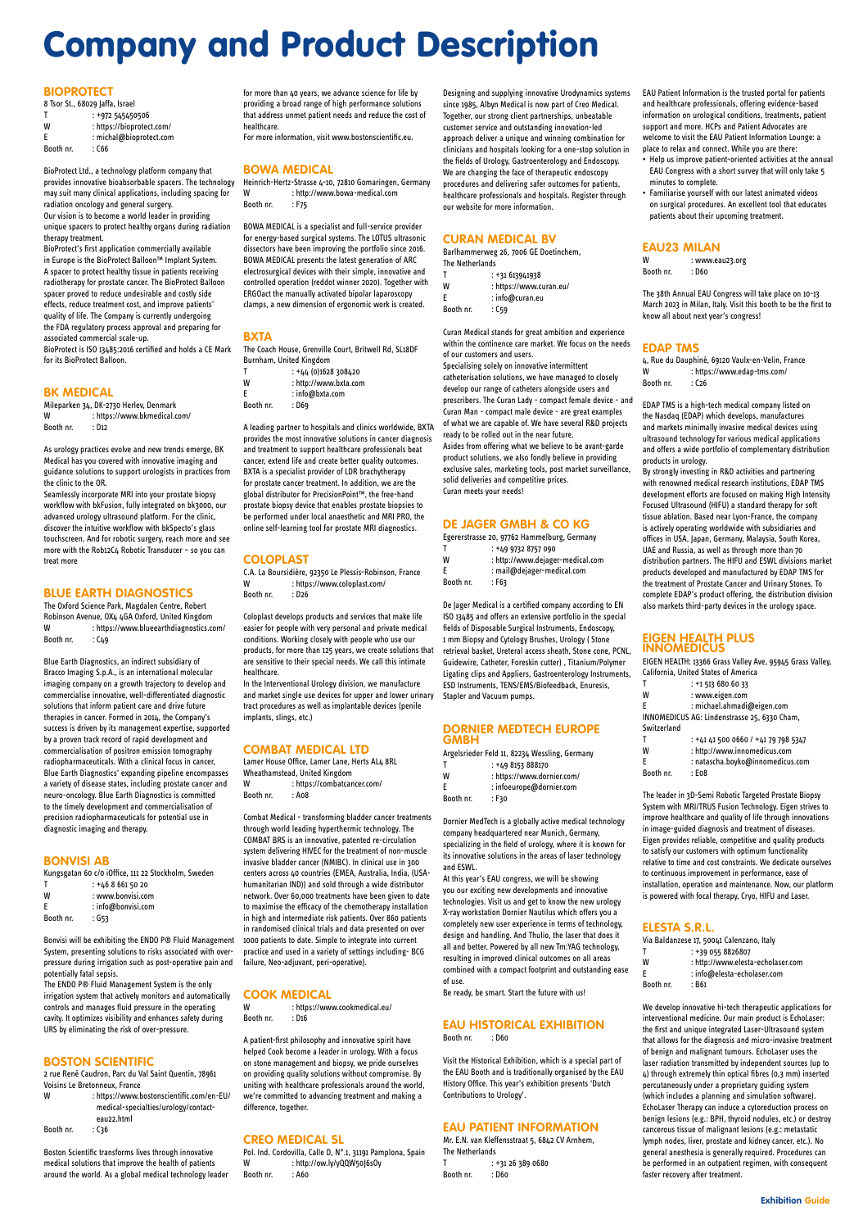#### **BIOPROTECT**

| 8 Tsor St., 68029 Jaffa, Israel |                           |  |
|---------------------------------|---------------------------|--|
|                                 | : +972 545450506          |  |
| W                               | : https://bioprotect.com/ |  |
| F                               | : michal@bioprotect.com   |  |
| Booth nr.                       | : C66                     |  |

BioProtect Ltd., a technology platform company that provides innovative bioabsorbable spacers. The technology may suit many clinical applications, including spacing for radiation oncology and general surgery. Our vision is to become a world leader in providing unique spacers to protect healthy organs during radiation therapy treatment.

Mileparken 34, DK-2730 Herlev, Denmark W : https://www.bkmedical.com/ Booth nr. : D12

BioProtect's first application commercially available in Europe is the BioProtect Balloon™ Implant System. A spacer to protect healthy tissue in patients receiving radiotherapy for prostate cancer. The BioProtect Balloon spacer proved to reduce undesirable and costly side effects, reduce treatment cost, and improve patients' quality of life. The Company is currently undergoing the FDA regulatory process approval and preparing for associated commercial scale-up.

The Oxford Science Park, Magdalen Centre, Robert Robinson Avenue, OX4 4GA Oxford, United Kingdom W : https://www.blueearthdiagnostics.com/ Booth nr. : C49

BioProtect is ISO 13485:2016 certified and holds a CE Mark for its BioProtect Balloon.

#### **BK MEDICAL**

As urology practices evolve and new trends emerge, BK Medical has you covered with innovative imaging and guidance solutions to support urologists in practices from the clinic to the OR.

Seamlessly incorporate MRI into your prostate biopsy workflow with bkFusion, fully integrated on bk3000, our advanced urology ultrasound platform. For the clinic, discover the intuitive workflow with bkSpecto's glass touchscreen. And for robotic surgery, reach more and see more with the Rob12C4 Robotic Transducer – so you can treat more

#### **BLUE EARTH DIAGNOSTICS**

Blue Earth Diagnostics, an indirect subsidiary of Bracco Imaging S.p.A., is an international molecular imaging company on a growth trajectory to develop and commercialise innovative, well-differentiated diagnostic solutions that inform patient care and drive future therapies in cancer. Formed in 2014, the Company's success is driven by its management expertise, supported by a proven track record of rapid development and commercialisation of positron emission tomography radiopharmaceuticals. With a clinical focus in cancer, Blue Earth Diagnostics' expanding pipeline encompasses a variety of disease states, including prostate cancer and neuro-oncology. Blue Earth Diagnostics is committed to the timely development and commercialisation of precision radiopharmaceuticals for potential use in diagnostic imaging and therapy.

#### **BONVISI AB**

| Kungsgatan 60 c/0 iOffice, 111 22 Stockholm, Sweden |                      |  |
|-----------------------------------------------------|----------------------|--|
|                                                     | $: +4686615020$      |  |
| W                                                   | : www.bonvisi.com    |  |
| F.                                                  | $:$ info@bonvisi.com |  |
| Booth nr.                                           | : G53                |  |

Bonvisi will be exhibiting the ENDO P® Fluid Management System, presenting solutions to risks associated with overpressure during irrigation such as post-operative pain and potentially fatal sepsis.

The ENDO P® Fluid Management System is the only irrigation system that actively monitors and automatically controls and manages fluid pressure in the operating cavity. It optimizes visibility and enhances safety during URS by eliminating the risk of over-pressure.

#### **BOSTON SCIENTIFIC**

2 rue René Caudron, Parc du Val Saint Quentin, 78961 Voisins Le Bretonneux, France

W : https://www.bostonscientific.com/en-EU/ medical-specialties/urology/contacteau22.html

Booth nr. : C36

Boston Scientific transforms lives through innovative medical solutions that improve the health of patients around the world. As a global medical technology leader

### **COOK MEDICAL**<br>W https://www.

: https://www.cookmedical.eu/ Booth nr. : D16

for more than 40 years, we advance science for life by providing a broad range of high performance solutions that address unmet patient needs and reduce the cost of healthcare.

For more information, visit www.bostonscientific.eu.

#### **BOWA MEDICAL**

Heinrich-Hertz-Strasse 4-10, 72810 Gomaringen, Germany W : http://www.bowa-medical.com Booth nr. : F75

BOWA MEDICAL is a specialist and full-service provider for energy-based surgical systems. The LOTUS ultrasonic dissectors have been improving the portfolio since 2016. BOWA MEDICAL presents the latest generation of ARC electrosurgical devices with their simple, innovative and controlled operation (reddot winner 2020). Together with ERGOact the manually activated bipolar laparoscopy clamps, a new dimension of ergonomic work is created.

#### **BXTA**

The Coach House, Grenville Court, Britwell Rd, SL18DF Burnham, United Kingdom

|  | $: +44$ (0)1628 308420 |
|--|------------------------|
|  |                        |

W : http://www.bxta.com E : info@bxta.com

Booth nr. : D69

A leading partner to hospitals and clinics worldwide, BXTA provides the most innovative solutions in cancer diagnosis and treatment to support healthcare professionals beat cancer, extend life and create better quality outcomes. BXTA is a specialist provider of LDR brachytherapy for prostate cancer treatment. In addition, we are the global distributor for PrecisionPoint™, the free-hand prostate biopsy device that enables prostate biopsies to be performed under local anaesthetic and MRI PRO, the online self-learning tool for prostate MRI diagnostics.

#### **EAU HISTORICAL EXHIBITION** Booth nr. : D60

#### **COLOPLAST**

C.A. La Boursidière, 92350 Le Plessis-Robinson, France W : https://www.coloplast.com/ Booth nr. : D26

> T : +31 26 389 0680 Booth nr. : D60

Coloplast develops products and services that make life easier for people with very personal and private medical conditions. Working closely with people who use our products, for more than 125 years, we create solutions that are sensitive to their special needs. We call this intimate healthcare.

: www.eau23.org Booth nr. : D60

In the Interventional Urology division, we manufacture and market single use devices for upper and lower urinary tract procedures as well as implantable devices (penile implants, slings, etc.)

4, Rue du Dauphiné, 69120 Vaulx-en-Velin, France W : https://www.edap-tms.com/ Booth nr. : C26

#### **COMBAT MEDICAL LTD**

| Lamer House Office. Lamer Lane. Herts AL4 8RL |                             |  |
|-----------------------------------------------|-----------------------------|--|
| Wheathamstead, United Kingdom                 |                             |  |
| W                                             | : https://combatcancer.com/ |  |
| Booth nr.                                     | : A08                       |  |

Combat Medical - transforming bladder cancer treatments through world leading hyperthermic technology. The COMBAT BRS is an innovative, patented re-circulation system delivering HIVEC for the treatment of non-muscle invasive bladder cancer (NMIBC). In clinical use in 300 centers across 40 countries (EMEA, Australia, India, (USAhumanitarian IND)) and sold through a wide distributor network. Over 60,000 treatments have been given to date to maximise the efficacy of the chemotherapy installation in high and intermediate risk patients. Over 860 patients in randomised clinical trials and data presented on over 1000 patients to date. Simple to integrate into current practice and used in a variety of settings including- BCG failure, Neo-adjuvant, peri-operative).

Via Baldanzese 17, 50041 Calenzano, Italy T : +39 055 8826807 W : http://www.elesta-echolaser.com E : info@elesta-echolaser.com Booth nr. : B61

A patient-first philosophy and innovative spirit have helped Cook become a leader in urology. With a focus on stone management and biopsy, we pride ourselves on providing quality solutions without compromise. By uniting with healthcare professionals around the world, we're committed to advancing treatment and making a difference, together.

#### **CREO MEDICAL SL**

Pol. Ind. Cordovilla, Calle D, N°.1, 31191 Pamplona, Spain W : http://ow.ly/yQQW50J6sOy Booth nr. : A60

Designing and supplying innovative Urodynamics systems since 1985, Albyn Medical is now part of Creo Medical. Together, our strong client partnerships, unbeatable customer service and outstanding innovation-led approach deliver a unique and winning combination for clinicians and hospitals looking for a one-stop solution in the fields of Urology, Gastroenterology and Endoscopy. We are changing the face of therapeutic endoscopy procedures and delivering safer outcomes for patients, healthcare professionals and hospitals. Register through our website for more information.

#### **CURAN MEDICAL BV**

|                 | Barlhammerweg 26, 7006 GE Doetinchem, |
|-----------------|---------------------------------------|
| The Netherlands |                                       |
| T               | $: +31613941938$                      |
| W               | : https://www.curan.eu/               |
| F               | : info@curan.eu                       |
| Booth nr.       | : C59                                 |

Curan Medical stands for great ambition and experience within the continence care market. We focus on the needs of our customers and users.

Specialising solely on innovative intermittent catheterisation solutions, we have managed to closely develop our range of catheters alongside users and prescribers. The Curan Lady - compact female device - and Curan Man - compact male device - are great examples of what we are capable of. We have several R&D projects ready to be rolled out in the near future. Asides from offering what we believe to be avant-garde product solutions, we also fondly believe in providing exclusive sales, marketing tools, post market surveillance, solid deliveries and competitive prices.

Curan meets your needs!

#### **DE JAGER GMBH & CO KG**

| Egererstrasse 20, 97762 Hammelburg, Germany |                                  |  |
|---------------------------------------------|----------------------------------|--|
|                                             | $: +4997328757090$               |  |
| W                                           | : http://www.dejager-medical.com |  |
| F                                           | : mail@dejager-medical.com       |  |
| Booth nr.                                   | : F63                            |  |

De Jager Medical is a certified company according to EN ISO 13485 and offers an extensive portfolio in the special fields of Disposable Surgical Instruments, Endoscopy, 1 mm Biopsy and Cytology Brushes, Urology ( Stone retrieval basket, Ureteral access sheath, Stone cone, PCNL, Guidewire, Catheter, Foreskin cutter) , Titanium/Polymer Ligating clips and Appliers, Gastroenterology Instruments, ESD Instruments, TENS/EMS/Biofeedback, Enuresis, Stapler and Vacuum pumps.

#### **DORNIER MEDTECH EUROPE GMBH**

|           | Argelsrieder Feld 11, 82234 Wessling, Germany |
|-----------|-----------------------------------------------|
|           | $: +498153888170$                             |
| W         | : https://www.dornier.com/                    |
| F         | : infoeurope@dornier.com                      |
| Booth nr. | : F30                                         |

Dornier MedTech is a globally active medical technology company headquartered near Munich, Germany, specializing in the field of urology, where it is known for its innovative solutions in the areas of laser technology and ESWL.

At this year's EAU congress, we will be showing you our exciting new developments and innovative technologies. Visit us and get to know the new urology X-ray workstation Dornier Nautilus which offers you a completely new user experience in terms of technology, design and handling. And Thulio, the laser that does it all and better. Powered by all new Tm:YAG technology, resulting in improved clinical outcomes on all areas combined with a compact footprint and outstanding ease of use. Be ready, be smart. Start the future with us!

Visit the Historical Exhibition, which is a special part of the EAU Booth and is traditionally organised by the EAU History Office. This year's exhibition presents 'Dutch Contributions to Urology'.

#### **EAU PATIENT INFORMATION**

Mr. E.N. van Kleffensstraat 5, 6842 CV Arnhem, The Netherlands

EAU Patient Information is the trusted portal for patients and healthcare professionals, offering evidence-based information on urological conditions, treatments, patient support and more. HCPs and Patient Advocates are welcome to visit the EAU Patient Information Lounge: a place to relax and connect. While you are there:

- Help us improve patient-oriented activities at the annual EAU Congress with a short survey that will only take 5 minutes to complete.
- Familiarise yourself with our latest animated videos on surgical procedures. An excellent tool that educates patients about their upcoming treatment.

### **EAU23 MILAN**

The 38th Annual EAU Congress will take place on 10-13 March 2023 in Milan, Italy. Visit this booth to be the first to know all about next year's congress!

#### **EDAP TMS**

EDAP TMS is a high-tech medical company listed on the Nasdaq (EDAP) which develops, manufactures and markets minimally invasive medical devices using ultrasound technology for various medical applications and offers a wide portfolio of complementary distribution products in urology.

By strongly investing in R&D activities and partnering with renowned medical research institutions, EDAP TMS development efforts are focused on making High Intensity Focused Ultrasound (HIFU) a standard therapy for soft tissue ablation. Based near Lyon-France, the company is actively operating worldwide with subsidiaries and offices in USA, Japan, Germany, Malaysia, South Korea, UAE and Russia, as well as through more than 70 distribution partners. The HIFU and ESWL divisions market products developed and manufactured by EDAP TMS for the treatment of Prostate Cancer and Urinary Stones. To complete EDAP's product offering, the distribution division also markets third-party devices in the urology space.

#### **EIGEN HEALTH PLUS INNOMEDICUS**

EIGEN HEALTH: 13366 Grass Valley Ave, 95945 Grass Valley, California, United States of America

|             | $: +1$ 513 680 60 33                         |
|-------------|----------------------------------------------|
| W           | : www.eigen.com                              |
| F           | : michael.ahmadi@eigen.com                   |
|             | INNOMEDICUS AG: Lindenstrasse 25, 6330 Cham, |
| Switzerland |                                              |
|             | : +41 41 500 0660 / +41 79 798 5347          |
| W           | : http://www.innomedicus.com                 |
| F           | : natascha.boyko@innomedicus.com             |

Booth nr. : E08

The leader in 3D-Semi Robotic Targeted Prostate Biopsy System with MRI/TRUS Fusion Technology. Eigen strives to improve healthcare and quality of life through innovations in image-guided diagnosis and treatment of diseases. Eigen provides reliable, competitive and quality products to satisfy our customers with optimum functionality relative to time and cost constraints. We dedicate ourselves to continuous improvement in performance, ease of installation, operation and maintenance. Now, our platform is powered with focal therapy, Cryo, HIFU and Laser.

#### **ELESTA S.R.L.**

We develop innovative hi-tech therapeutic applications for interventional medicine. Our main product is EchoLaser: the first and unique integrated Laser-Ultrasound system that allows for the diagnosis and micro-invasive treatment of benign and malignant tumours. EchoLaser uses the laser radiation transmitted by independent sources (up to 4) through extremely thin optical fibres (0,3 mm) inserted percutaneously under a proprietary guiding system (which includes a planning and simulation software). EchoLaser Therapy can induce a cytoreduction process on benign lesions (e.g.: BPH, thyroid nodules, etc.) or destroy cancerous tissue of malignant lesions (e.g.: metastatic lymph nodes, liver, prostate and kidney cancer, etc.). No general anesthesia is generally required. Procedures can be performed in an outpatient regimen, with consequent faster recovery after treatment.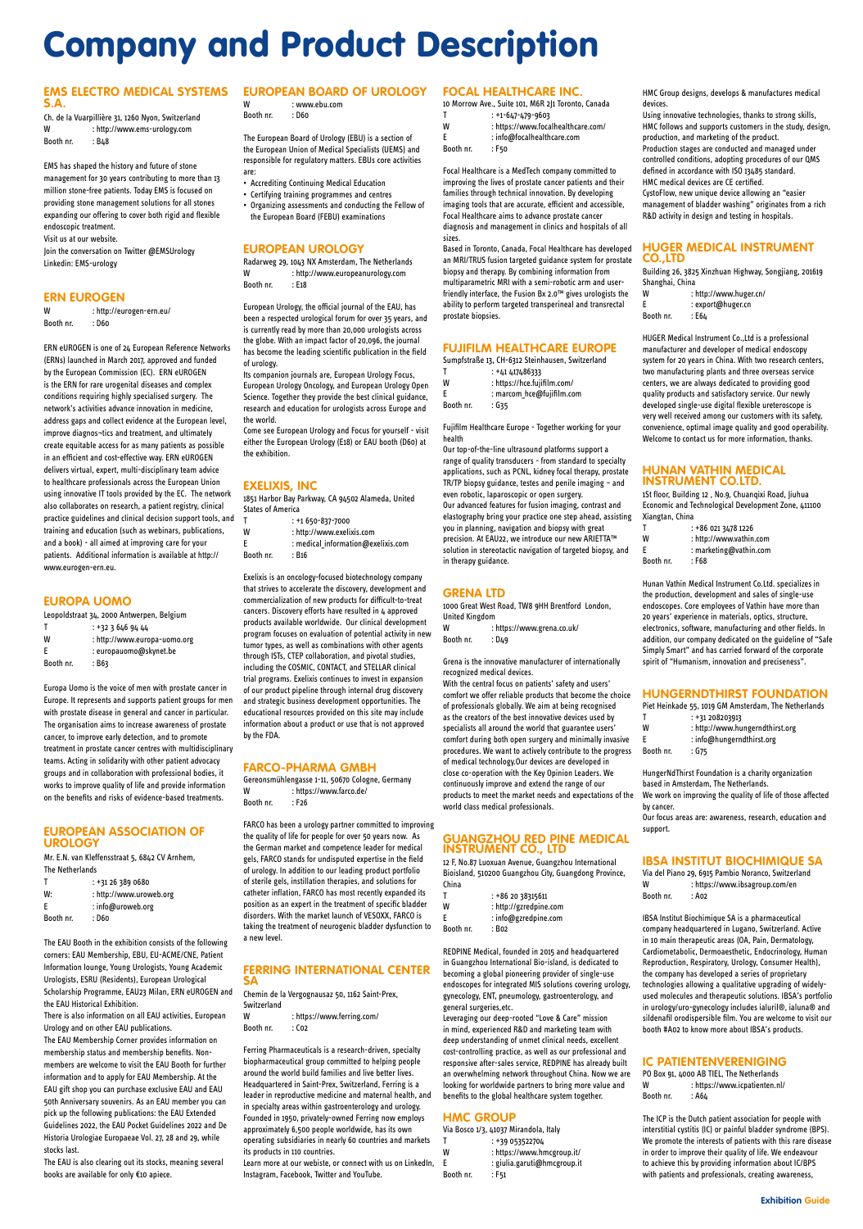Ch. de la Vuarpillière 31, 1260 Nyon, Switzerland W : http://www.ems-urology.com Booth nr. : B48

#### **EMS ELECTRO MEDICAL SYSTEMS S.A.**

W : http://eurogen-ern.eu/ Booth nr. : D60

EMS has shaped the history and future of stone management for 30 years contributing to more than 13 million stone-free patients. Today EMS is focused on providing stone management solutions for all stones expanding our offering to cover both rigid and flexible endoscopic treatment.

Visit us at our website.

Join the conversation on Twitter @EMSUrology Linkedin: EMS-urology

#### **ERN EUROGEN**

ERN eUROGEN is one of 24 European Reference Networks (ERNs) launched in March 2017, approved and funded by the European Commission (EC). ERN eUROGEN is the ERN for rare urogenital diseases and complex conditions requiring highly specialised surgery. The network's activities advance innovation in medicine, address gaps and collect evidence at the European level, improve diagnos¬tics and treatment, and ultimately create equitable access for as many patients as possible in an efficient and cost-effective way. ERN eUROGEN delivers virtual, expert, multi-disciplinary team advice to healthcare professionals across the European Union using innovative IT tools provided by the EC. The network also collaborates on research, a patient registry, clinical practice guidelines and clinical decision support tools, and training and education (such as webinars, publications, and a book) - all aimed at improving care for your patients. Additional information is available at http:// www.eurogen-ern.eu.

#### **EUROPA UOMO**

|           | Leopoldstraat 34, 2000 Antwerpen, Belgium |
|-----------|-------------------------------------------|
| т         | : +32 3 646 94 44                         |
| W         | : http://www.europa-uomo.org              |
| F         | : europauomo@skynet.be                    |
| Booth nr. | : B63                                     |

Europa Uomo is the voice of men with prostate cancer in Europe. It represents and supports patient groups for men with prostate disease in general and cancer in particular. The organisation aims to increase awareness of prostate cancer, to improve early detection, and to promote treatment in prostate cancer centres with multidisciplinary teams. Acting in solidarity with other patient advocacy groups and in collaboration with professional bodies, it works to improve quality of life and provide information on the benefits and risks of evidence-based treatments.

#### **EUROPEAN ASSOCIATION OF UROLOGY**

Mr. E.N. van Kleffensstraat 5, 6842 CV Arnhem, The Netherlands

- T : +1 650-837-7000
- W : http://www.exelixis.com
- E : medical\_information@exelixis.com Booth nr. : B16

| т  | $: +31263890680$        |
|----|-------------------------|
| W: | : http://www.uroweb.org |
| E  | : info@uroweb.org       |

Booth nr. : D60

The EAU Booth in the exhibition consists of the following corners: EAU Membership, EBU, EU-ACME/CNE, Patient Information lounge, Young Urologists, Young Academic Urologists, ESRU (Residents), European Urological Scholarship Programme, EAU23 Milan, ERN eUROGEN and the EAU Historical Exhibition.

There is also information on all EAU activities, European Urology and on other EAU publications. The EAU Membership Corner provides information on membership status and membership benefits. Nonmembers are welcome to visit the EAU Booth for further information and to apply for EAU Membership. At the EAU gift shop you can purchase exclusive EAU and EAU 50th Anniversary souvenirs. As an EAU member you can pick up the following publications: the EAU Extended Guidelines 2022, the EAU Pocket Guidelines 2022 and De Historia Urologiae Europaeae Vol. 27, 28 and 29, while stocks last.

The EAU is also clearing out its stocks, meaning several books are available for only €10 apiece.

#### **EUROPEAN BOARD OF UROLOGY**

| W         | : www.ebu.com |
|-----------|---------------|
| Booth nr. | : D60         |

The European Board of Urology (EBU) is a section of the European Union of Medical Specialists (UEMS) and responsible for regulatory matters. EBUs core activities are:

 $T$  :  $+1-647-479-9603$ W : https://www.focalhealthcare.com/ E : info@focalhealthcare.com

Booth nr. : F50

- Accrediting Continuing Medical Education
- Certifying training programmes and centres
- Organizing assessments and conducting the Fellow of the European Board (FEBU) examinations

#### **EUROPEAN UROLOGY**

Radarweg 29, 1043 NX Amsterdam, The Netherlands W : http://www.europeanurology.com Booth nr. : E18

European Urology, the official journal of the EAU, has been a respected urological forum for over 35 years, and is currently read by more than 20,000 urologists across the globe. With an impact factor of 20,096, the journal has become the leading scientific publication in the field of urology.

Its companion journals are, European Urology Focus, European Urology Oncology, and European Urology Open Science. Together they provide the best clinical guidance, research and education for urologists across Europe and the world.

Come see European Urology and Focus for yourself - visit either the European Urology (E18) or EAU booth (D60) at the exhibition.

#### **EXELIXIS, INC**

1851 Harbor Bay Parkway, CA 94502 Alameda, United States of America

Exelixis is an oncology-focused biotechnology company that strives to accelerate the discovery, development and commercialization of new products for difficult-to-treat cancers. Discovery efforts have resulted in 4 approved products available worldwide. Our clinical development program focuses on evaluation of potential activity in new tumor types, as well as combinations with other agents through ISTs, CTEP collaboration, and pivotal studies, including the COSMIC, CONTACT, and STELLAR clinical trial programs. Exelixis continues to invest in expansion of our product pipeline through internal drug discovery and strategic business development opportunities. The educational resources provided on this site may include information about a product or use that is not approved by the FDA.

#### **FARCO-PHARMA GMBH**

Gereonsmühlengasse 1-11, 50670 Cologne, Germany W : https://www.farco.de/ Booth nr. : F26

1St floor, Building 12 , No.9, Chuanqixi Road, Jiuhua Economic and Technological Development Zone, 411100 Xiangtan, China nangtan, emilia<br>T +86 021 3478 1226

FARCO has been a urology partner committed to improving the quality of life for people for over 50 years now. As the German market and competence leader for medical gels, FARCO stands for undisputed expertise in the field of urology. In addition to our leading product portfolio of sterile gels, instillation therapies, and solutions for catheter inflation, FARCO has most recently expanded its position as an expert in the treatment of specific bladder disorders. With the market launch of VESOXX, FARCO is taking the treatment of neurogenic bladder dysfunction to a new level.

#### **FERRING INTERNATIONAL CENTER SA**

Chemin de la Vergognausaz 50, 1162 Saint-Prex, Switzerland

W : https://www.ferring.com/ Booth nr. : Co2

Ferring Pharmaceuticals is a research-driven, specialty biopharmaceutical group committed to helping people around the world build families and live better lives. Headquartered in Saint-Prex, Switzerland, Ferring is a leader in reproductive medicine and maternal health, and in specialty areas within gastroenterology and urology. Founded in 1950, privately-owned Ferring now employs approximately 6,500 people worldwide, has its own operating subsidiaries in nearly 60 countries and markets its products in 110 countries.

#### **IC PATIENTENVERENIGING** PO Box 91, 4000 AB TIEL, The Netherlands W : https://www.icpatienten.nl/ Booth nr. : A64

Learn more at our webiste, or connect with us on LinkedIn, Instagram, Facebook, Twitter and YouTube.

#### **FOCAL HEALTHCARE INC.**

10 Morrow Ave., Suite 101, M6R 2J1 Toronto, Canada

Focal Healthcare is a MedTech company committed to improving the lives of prostate cancer patients and their families through technical innovation. By developing imaging tools that are accurate, efficient and accessible, Focal Healthcare aims to advance prostate cancer diagnosis and management in clinics and hospitals of all sizes.

Based in Toronto, Canada, Focal Healthcare has developed an MRI/TRUS fusion targeted guidance system for prostate biopsy and therapy. By combining information from multiparametric MRI with a semi-robotic arm and userfriendly interface, the Fusion Bx 2.0™ gives urologists the ability to perform targeted transperineal and transrectal prostate biopsies.

#### **FUJIFILM HEALTHCARE EUROPE**

|   | Sumpfstraße 13, CH-6312 Steinhausen, Switzerland |
|---|--------------------------------------------------|
| т | $: +41417486333$                                 |
| W | : https://hce.fujifilm.com/                      |

|                 | : marcom_hce@fujifilm.com |
|-----------------|---------------------------|
| اسماعه والمحددا | $. \sim$                  |

Booth nr. : G35

Fujifilm Healthcare Europe - Together working for your health

Our top-of-the-line ultrasound platforms support a range of quality transducers - from standard to specialty applications, such as PCNL, kidney focal therapy, prostate TR/TP biopsy guidance, testes and penile imaging – and even robotic, laparoscopic or open surgery. Our advanced features for fusion imaging, contrast and elastography bring your practice one step ahead, assisting you in planning, navigation and biopsy with great precision. At EAU22, we introduce our new ARIETTA™ solution in stereotactic navigation of targeted biopsy, and in therapy guidance.

#### **GRENA LTD**

1000 Great West Road, TW8 9HH Brentford London, United Kingdom

| w         | : https://www.grena.co.uk/ |
|-----------|----------------------------|
| Booth nr. | : D49                      |

Grena is the innovative manufacturer of internationally recognized medical devices.

With the central focus on patients' safety and users' comfort we offer reliable products that become the choice of professionals globally. We aim at being recognised as the creators of the best innovative devices used by specialists all around the world that guarantee users' comfort during both open surgery and minimally invasive procedures. We want to actively contribute to the progress of medical technology.Our devices are developed in close co-operation with the Key Opinion Leaders. We continuously improve and extend the range of our products to meet the market needs and expectations of the world class medical professionals.

#### **GUANGZHOU RED PINE MEDICAL INSTRUMENT CO., LTD**

12 F, No.87 Luoxuan Avenue, Guangzhou International Bioisland, 510200 Guangzhou City, Guangdong Province, China

| т | : +86 20 38315611      |
|---|------------------------|
| w | : http://gzredpine.com |
| E | $:$ info@gzredpine.com |

Booth nr. : B02

REDPINE Medical, founded in 2015 and headquartered in Guangzhou International Bio-island, is dedicated to becoming a global pioneering provider of single-use endoscopes for integrated MIS solutions covering urology, gynecology, ENT, pneumology, gastroenterology, and general surgeries,etc.

Leveraging our deep-rooted "Love & Care" mission in mind, experienced R&D and marketing team with deep understanding of unmet clinical needs, excellent cost-controlling practice, as well as our professional and responsive after-sales service, REDPINE has already built an overwhelming network throughout China. Now we are looking for worldwide partners to bring more value and benefits to the global healthcare system together.

#### **HMC GROUP**

Via Bosco 1/3, 41037 Mirandola, Italy T : +39 053522704 W : https://www.hmcgroup.it/ E : giulia.garuti@hmcgroup.it Booth nr. : F51

HMC Group designs, develops & manufactures medical devices.

Using innovative technologies, thanks to strong skills, HMC follows and supports customers in the study, design, production, and marketing of the product. Production stages are conducted and managed under controlled conditions, adopting procedures of our QMS defined in accordance with ISO 13485 standard. HMC medical devices are CE certified. CystoFlow, new unique device allowing an "easier management of bladder washing" originates from a rich

R&D activity in design and testing in hospitals.

#### **HUGER MEDICAL INSTRUMENT CO.,LTD**

Building 26, 3825 Xinzhuan Highway, Songjiang, 201619 Shanghai, China

| W         | : http://www.huger.cn/ |
|-----------|------------------------|
| E         | : export@huger.cn      |
| Booth nr. | : E64                  |

HUGER Medical Instrument Co.,Ltd is a professional manufacturer and developer of medical endoscopy system for 20 years in China. With two research centers, two manufacturing plants and three overseas service centers, we are always dedicated to providing good quality products and satisfactory service. Our newly developed single-use digital flexible ureteroscope is very well received among our customers with its safety, convenience, optimal image quality and good operability. Welcome to contact us for more information, thanks.

#### **HUNAN VATHIN MEDICAL INSTRUMENT CO.LTD.**

|           | : +86 021 3478 1226     |
|-----------|-------------------------|
| W         | : http://www.vathin.com |
| F         | : marketing@vathin.com  |
| Booth nr. | : F68                   |

Hunan Vathin Medical Instrument Co.Ltd. specializes in the production, development and sales of single-use endoscopes. Core employees of Vathin have more than 20 years' experience in materials, optics, structure, electronics, software, manufacturing and other fields. In addition, our company dedicated on the guideline of "Safe Simply Smart" and has carried forward of the corporate spirit of "Humanism, innovation and preciseness".

#### **HUNGERNDTHIRST FOUNDATION**

|           | Piet Heinkade 55, 1019 GM Amsterdam, The Netherlands |
|-----------|------------------------------------------------------|
|           | : +31 208203913                                      |
| W         | : http://www.hungerndthirst.org                      |
| F         | $:$ info@hungerndthirst.org                          |
| Booth nr. | : G75                                                |

HungerNdThirst Foundation is a charity organization based in Amsterdam, The Netherlands. We work on improving the quality of life of those affected by cancer. Our focus areas are: awareness, research, education and support.

#### **IBSA INSTITUT BIOCHIMIQUE SA**

Via del Piano 29, 6915 Pambio Noranco, Switzerland W : https://www.ibsagroup.com/en Booth nr. : A02

IBSA Institut Biochimique SA is a pharmaceutical company headquartered in Lugano, Switzerland. Active in 10 main therapeutic areas (OA, Pain, Dermatology, Cardiometabolic, Dermoaesthetic, Endocrinology, Human Reproduction, Respiratory, Urology, Consumer Health), the company has developed a series of proprietary technologies allowing a qualitative upgrading of widelyused molecules and therapeutic solutions. IBSA's portfolio in urology/uro-gynecology includes ialuril®, ialuna® and sildenafil orodispersible film. You are welcome to visit our booth #A02 to know more about IBSA's products.

The ICP is the Dutch patient association for people with interstitial cystitis (IC) or painful bladder syndrome (BPS). We promote the interests of patients with this rare disease in order to improve their quality of life. We endeavour to achieve this by providing information about IC/BPS with patients and professionals, creating awareness,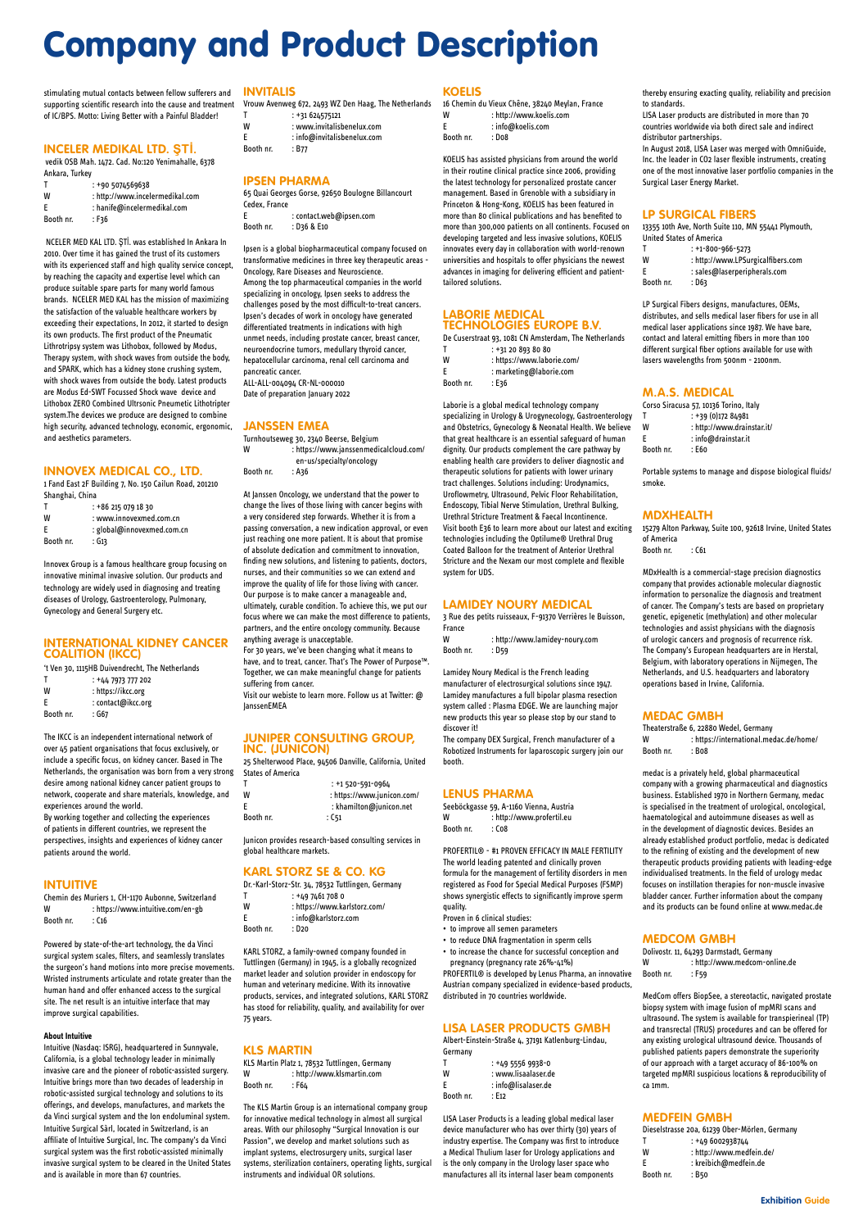stimulating mutual contacts between fellow sufferers and **INVITALIS** supporting scientific research into the cause and treatment of IC/BPS. Motto: Living Better with a Painful Bladder!

vedik OSB Mah. 1472. Cad. No:120 Yenimahalle, 6378 Ankara, Turkey

#### **INCELER MEDIKAL LTD. ŞTİ.**

|           | : +90 5074569638                |
|-----------|---------------------------------|
| W         | : http://www.incelermedikal.com |
| -F        | : hanife@incelermedikal.com     |
| Booth nr. | : F36                           |

NCELER MED KAL LTD. ŞTİ. was established In Ankara In 2010. Over time it has gained the trust of its customers with its experienced staff and high quality service concept, by reaching the capacity and expertise level which can produce suitable spare parts for many world famous brands. NCELER MED KAL has the mission of maximizing the satisfaction of the valuable healthcare workers by exceeding their expectations, In 2012, it started to design its own products. The first product of the Pneumatic Lithrotripsy system was Lithobox, followed by Modus, Therapy system, with shock waves from outside the body, and SPARK, which has a kidney stone crushing system, with shock waves from outside the body. Latest products are Modus Ed-SWT Focussed Shock wave device and Lithobox ZERO Combined Ultrsonic Pneumetic Lithotripter system.The devices we produce are designed to combine high security, advanced technology, economic, ergonomic, and aesthetics parameters.

#### **INNOVEX MEDICAL CO., LTD.**

1 Fand East 2F Building 7, No. 150 Cailun Road, 201210 Shanghai, China

| т         | $: +862150791830$          |
|-----------|----------------------------|
| W         | : www.innovexmed.com.cn    |
| E         | : global@innovexmed.com.cn |
| Booth nr. | : G13                      |

Innovex Group is a famous healthcare group focusing on innovative minimal invasive solution. Our products and technology are widely used in diagnosing and treating diseases of Urology, Gastroenterology, Pulmonary, Gynecology and General Surgery etc.

#### **INTERNATIONAL KIDNEY CANCER COALITION (IKCC)**

't Ven 30, 1115HB Duivendrecht, The Netherlands

| Т         | : +44 7973 777 202 |
|-----------|--------------------|
| W         | : https://ikcc.org |
| E         | : contact@ikcc.org |
| Booth nr. | : G67              |

The IKCC is an independent international network of over 45 patient organisations that focus exclusively, or include a specific focus, on kidney cancer. Based in The Netherlands, the organisation was born from a very strong desire among national kidney cancer patient groups to network, cooperate and share materials, knowledge, and experiences around the world.

Turnhoutseweg 30, 2340 Beerse, Belgium W : https://www.janssenmedicalcloud.com/ en-us/specialty/oncology Booth nr. : A36

By working together and collecting the experiences of patients in different countries, we represent the perspectives, insights and experiences of kidney cancer patients around the world.

#### **INTUITIVE**

Chemin des Muriers 1, CH-1170 Aubonne, Switzerland W : https://www.intuitive.com/en-gb Booth nr. : C16

Powered by state-of-the-art technology, the da Vinci surgical system scales, filters, and seamlessly translates the surgeon's hand motions into more precise movements. Wristed instruments articulate and rotate greater than the human hand and offer enhanced access to the surgical site. The net result is an intuitive interface that may improve surgical capabilities.

#### **About Intuitive**

KLS Martin Platz 1, 78532 Tuttlingen, Germany W : http://www.klsmartin.com Booth nr. : F64

Intuitive (Nasdaq: ISRG), headquartered in Sunnyvale, California, is a global technology leader in minimally invasive care and the pioneer of robotic-assisted surgery. Intuitive brings more than two decades of leadership in robotic-assisted surgical technology and solutions to its offerings, and develops, manufactures, and markets the da Vinci surgical system and the Ion endoluminal system. Intuitive Surgical Sàrl, located in Switzerland, is an affiliate of Intuitive Surgical, Inc. The company's da Vinci surgical system was the first robotic-assisted minimally invasive surgical system to be cleared in the United States and is available in more than 67 countries.

|           | Vrouw Avenweg 672, 2493 WZ Den Haag, The Netherlands |
|-----------|------------------------------------------------------|
| Т         | $: +31624575121$                                     |
| W         | : www.invitalisbenelux.com                           |
| F         | : info@invitalisbenelux.com                          |
| Booth nr. | : B77                                                |

| າ nr. | : B77 |
|-------|-------|
|       |       |

#### **IPSEN PHARMA**

|               | 65 Quai Georges Gorse, 92650 Boulogne Billancourt |
|---------------|---------------------------------------------------|
| Cedex. France |                                                   |
| E             | : contact.web@ipsen.com                           |

| Booth nr. |  | : D36 & E10 |  |  |
|-----------|--|-------------|--|--|
|           |  |             |  |  |

Ipsen is a global biopharmaceutical company focused on transformative medicines in three key therapeutic areas - Oncology, Rare Diseases and Neuroscience. Among the top pharmaceutical companies in the world specializing in oncology, Ipsen seeks to address the challenges posed by the most difficult-to-treat cancers. Ipsen's decades of work in oncology have generated differentiated treatments in indications with high unmet needs, including prostate cancer, breast cancer, neuroendocrine tumors, medullary thyroid cancer, hepatocellular carcinoma, renal cell carcinoma and pancreatic cancer. ALL-ALL-004094 CR-NL-000010

Date of preparation January 2022

#### **JANSSEN EMEA**

Seeböckgasse 59, A-1160 Vienna, Austria W : http://www.profertil.eu Booth nr. : Co8

At Janssen Oncology, we understand that the power to change the lives of those living with cancer begins with a very considered step forwards. Whether it is from a passing conversation, a new indication approval, or even just reaching one more patient. It is about that promise of absolute dedication and commitment to innovation, finding new solutions, and listening to patients, doctors, nurses, and their communities so we can extend and improve the quality of life for those living with cancer. Our purpose is to make cancer a manageable and, ultimately, curable condition. To achieve this, we put our focus where we can make the most difference to patients, partners, and the entire oncology community. Because anything average is unacceptable. For 30 years, we've been changing what it means to

13355 10th Ave, North Suite 110, MN 55441 Plymouth, United States of America  $T \t+1-800-966-5273$ 

have, and to treat, cancer. That's The Power of Purpose™. Together, we can make meaningful change for patients suffering from cancer.

Visit our webiste to learn more. Follow us at Twitter: @ **JanssenEMEA** 

#### **JUNIPER CONSULTING GROUP, INC. (JUNICON)**

25 Shelterwood Place, 94506 Danville, California, United States of America

| : +1 520-591-0964          |
|----------------------------|
| : https://www.junicon.com/ |
| : khamilton@junicon.net    |
| : C51                      |
|                            |

Junicon provides research-based consulting services in global healthcare markets.

#### **KARL STORZ SE & CO. KG**

Dr.-Karl-Storz-Str. 34, 78532 Tuttlingen, Germany T : +49 7461 708 0 W : https://www.karlstorz.com/ E : info@karlstorz.com

Theaterstraße 6, 22880 Wedel, Germany W : https://international.medac.de/home/ Booth nr. : Bo8

Booth nr. : D20

**Booth** 

KARL STORZ, a family-owned company founded in Tuttlingen (Germany) in 1945, is a globally recognized market leader and solution provider in endoscopy for human and veterinary medicine. With its innovative products, services, and integrated solutions, KARL STORZ has stood for reliability, quality, and availability for over 75 years.

#### **KLS MARTIN**

The KLS Martin Group is an international company group for innovative medical technology in almost all surgical areas. With our philosophy "Surgical Innovation is our Passion", we develop and market solutions such as implant systems, electrosurgery units, surgical laser systems, sterilization containers, operating lights, surgical instruments and individual OR solutions.

#### **KOELIS**

|           | 16 Chemin du Vieux Chêne, 38240 Meylan, France |
|-----------|------------------------------------------------|
| W         | : http://www.koelis.com                        |
| F         | $:$ info@koelis.com                            |
| Booth nr. | : Do8                                          |
|           |                                                |

KOELIS has assisted physicians from around the world in their routine clinical practice since 2006, providing the latest technology for personalized prostate cancer management. Based in Grenoble with a subsidiary in Princeton & Hong-Kong, KOELIS has been featured in more than 80 clinical publications and has benefited to more than 300,000 patients on all continents. Focused on developing targeted and less invasive solutions, KOELIS innovates every day in collaboration with world-renown universities and hospitals to offer physicians the newest advances in imaging for delivering efficient and patienttailored solutions.

#### **LABORIE MEDICAL TECHNOLOGIES EUROPE B.V.**

De Cuserstraat 93, 1081 CN Amsterdam, The Netherlands

| Т | $: +31208938080$           |
|---|----------------------------|
| W | : https://www.laborie.com/ |
| F | : marketing@laborie.com    |

Booth nr. : E36

Laborie is a global medical technology company specializing in Urology & Urogynecology, Gastroenterology and Obstetrics, Gynecology & Neonatal Health. We believe that great healthcare is an essential safeguard of human dignity. Our products complement the care pathway by enabling health care providers to deliver diagnostic and therapeutic solutions for patients with lower urinary tract challenges. Solutions including: Urodynamics, Uroflowmetry, Ultrasound, Pelvic Floor Rehabilitation, Endoscopy, Tibial Nerve Stimulation, Urethral Bulking, Urethral Stricture Treatment & Faecal Incontinence. Visit booth E36 to learn more about our latest and exciting technologies including the Optilume® Urethral Drug Coated Balloon for the treatment of Anterior Urethral Stricture and the Nexam our most complete and flexible system for UDS.

#### **LAMIDEY NOURY MEDICAL**

|        | 3 Rue des petits ruisseaux, F-91370 Verrières le Buisson, |
|--------|-----------------------------------------------------------|
| France |                                                           |
| w      | : http://www.lamidey-noury.com                            |

| . .       |       |
|-----------|-------|
| Booth nr. | : D59 |
|           |       |

Lamidey Noury Medical is the French leading manufacturer of electrosurgical solutions since 1947. Lamidey manufactures a full bipolar plasma resection system called : Plasma EDGE. We are launching major new products this year so please stop by our stand to discover it!

The company DEX Surgical, French manufacturer of a Robotized Instruments for laparoscopic surgery join our booth.

#### **LENUS PHARMA**

PROFERTIL® - #1 PROVEN EFFICACY IN MALE FERTILITY The world leading patented and clinically proven formula for the management of fertility disorders in men registered as Food for Special Medical Purposes (FSMP) shows synergistic effects to significantly improve sperm quality.

Proven in 6 clinical studies:

- to improve all semen parameters
- to reduce DNA fragmentation in sperm cells
- to increase the chance for successful conception and pregnancy (pregnancy rate 26%-41%) PROFERTIL® is developed by Lenus Pharma, an innovative Austrian company specialized in evidence-based products, distributed in 70 countries worldwide.

#### **LISA LASER PRODUCTS GMBH**

Albert-Einstein-Straße 4, 37191 Katlenburg-Lindau, Germany

| т         | $: +4955569938 - 0$ |
|-----------|---------------------|
| w         | : www.lisaalaser.de |
| F         | : info@lisalaser.de |
| Booth nr. | : F12               |

LISA Laser Products is a leading global medical laser device manufacturer who has over thirty (30) years of industry expertise. The Company was first to introduce a Medical Thulium laser for Urology applications and is the only company in the Urology laser space who manufactures all its internal laser beam components

thereby ensuring exacting quality, reliability and precision to standards.

LISA Laser products are distributed in more than 70 countries worldwide via both direct sale and indirect distributor partnerships.

In August 2018, LISA Laser was merged with OmniGuide, Inc. the leader in CO2 laser flexible instruments, creating one of the most innovative laser portfolio companies in the Surgical Laser Energy Market.

#### **LP SURGICAL FIBERS**

|           | .7170007900752/5                  |
|-----------|-----------------------------------|
| w         | : http://www.LPSurgicalfibers.com |
| -F        | : sales@laserperipherals.com      |
| Booth nr. | : D63                             |
|           |                                   |

LP Surgical Fibers designs, manufactures, OEMs, distributes, and sells medical laser fibers for use in all medical laser applications since 1987. We have bare, contact and lateral emitting fibers in more than 100 different surgical fiber options available for use with lasers wavelengths from 500nm - 2100nm.

#### **M.A.S. MEDICAL**

|           | Corso Siracusa 57, 10136 Torino, Italy |
|-----------|----------------------------------------|
| т         | $: +39(0)17284981$                     |
| w         | : http://www.drainstar.it/             |
| F         | : info@drainstar.it                    |
| Booth nr. | : E60                                  |

Portable systems to manage and dispose biological fluids/ smoke.

#### **MDXHEALTH**

15279 Alton Parkway, Suite 100, 92618 Irvine, United States of America

Booth nr. : C61

MDxHealth is a commercial-stage precision diagnostics company that provides actionable molecular diagnostic information to personalize the diagnosis and treatment of cancer. The Company's tests are based on proprietary genetic, epigenetic (methylation) and other molecular technologies and assist physicians with the diagnosis of urologic cancers and prognosis of recurrence risk. The Company's European headquarters are in Herstal, Belgium, with laboratory operations in Nijmegen, The Netherlands, and U.S. headquarters and laboratory operations based in Irvine, California.

#### **MEDAC GMBH**

medac is a privately held, global pharmaceutical company with a growing pharmaceutical and diagnostics business. Established 1970 in Northern Germany, medac is specialised in the treatment of urological, oncological, haematological and autoimmune diseases as well as in the development of diagnostic devices. Besides an already established product portfolio, medac is dedicated to the refining of existing and the development of new therapeutic products providing patients with leading-edge individualised treatments. In the field of urology medac focuses on instillation therapies for non-muscle invasive bladder cancer. Further information about the company and its products can be found online at www.medac.de

#### **MEDCOM GMBH**

Dolivostr. 11, 64293 Darmstadt, Germany W : http://www.medcom-online.de Booth nr. : F59

MedCom offers BiopSee, a stereotactic, navigated prostate biopsy system with image fusion of mpMRI scans and ultrasound. The system is available for transpierineal (TP) and transrectal (TRUS) procedures and can be offered for any existing urological ultrasound device. Thousands of published patients papers demonstrate the superiority of our approach with a target accuracy of 86-100% on targeted mpMRI suspicious locations & reproducibility of ca 1mm.

#### **MEDFEIN GMBH**

|           | Dieselstrasse 20a, 61239 Ober-Mörlen, Germany |
|-----------|-----------------------------------------------|
| т         | : +49 6002938744                              |
| w         | : http://www.medfein.de/                      |
| F         | : kreibich@medfein.de                         |
| Booth nr. | : B50                                         |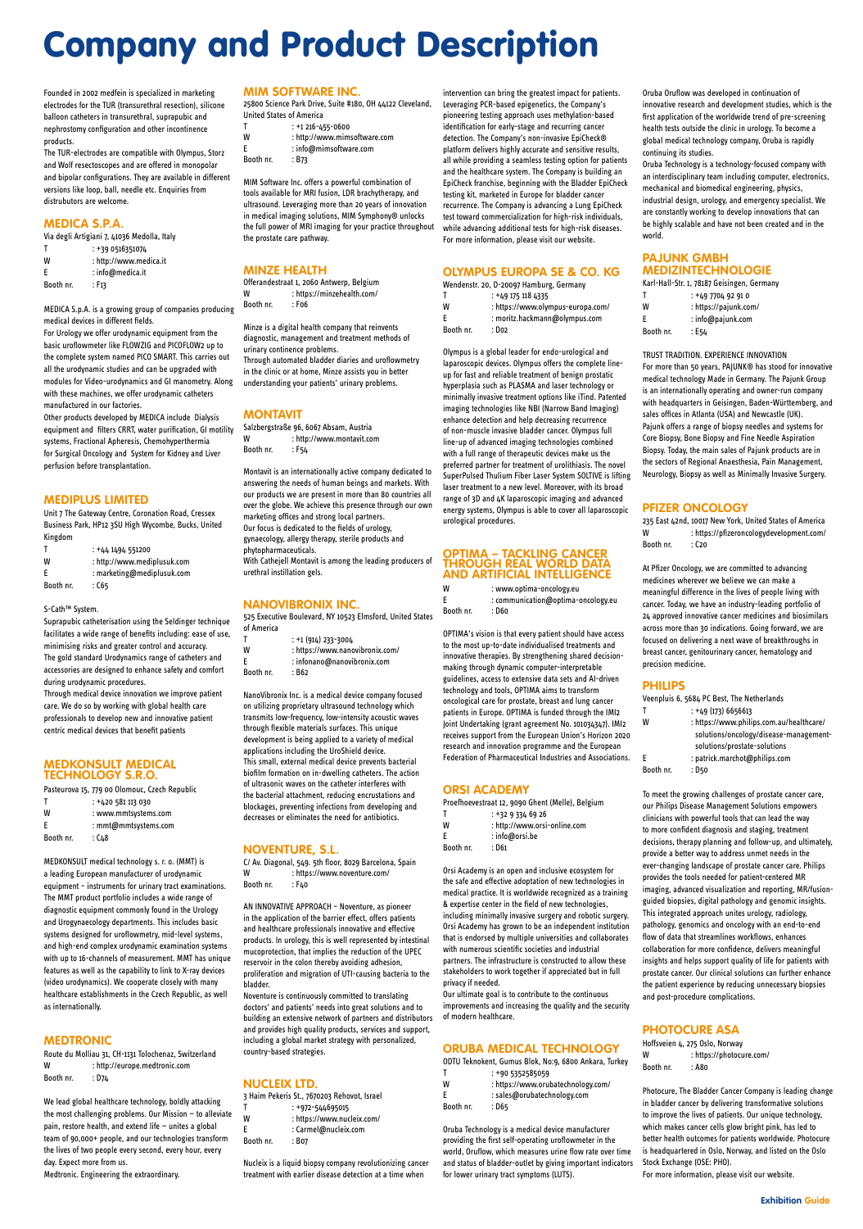Founded in 2002 medfein is specialized in marketing electrodes for the TUR (transurethral resection), silicone balloon catheters in transurethral, suprapubic and nephrostomy configuration and other incontinence products.

The TUR-electrodes are compatible with Olympus, Storz and Wolf resectoscopes and are offered in monopolar and bipolar configurations. They are available in different versions like loop, ball, needle etc. Enquiries from distrubutors are welcome.

#### **MEDICA S.P.A.**

Via degli Artigiani 7, 41036 Medolla, Italy

| Т         | : +39 0516351074       |
|-----------|------------------------|
| W         | : http://www.medica.it |
| E         | $:$ info@medica.it     |
| Booth nr. | : F13                  |

MEDICA S.p.A. is a growing group of companies producing medical devices in different fields.

For Urology we offer urodynamic equipment from the basic uroflowmeter like FLOWZIG and PICOFLOW2 up to the complete system named PICO SMART. This carries out all the urodynamic studies and can be upgraded with modules for Video-urodynamics and GI manometry. Along with these machines, we offer urodynamic catheters manufactured in our factories.

Other products developed by MEDICA include Dialysis equipment and filters CRRT, water purification, GI motility systems, Fractional Apheresis, Chemohyperthermia for Surgical Oncology and System for Kidney and Liver perfusion before transplantation.

#### **MEDIPLUS LIMITED**

Unit 7 The Gateway Centre, Coronation Road, Cressex Business Park, HP12 3SU High Wycombe, Bucks, United Kingdom

Route du Molliau 31, CH-1131 Tolochenaz, Switzerland W : http://europe.medtronic.com Booth nr. : D74

| Т | $: +441494551200$           |
|---|-----------------------------|
| W | : http://www.mediplusuk.com |
| E | : marketing@mediplusuk.com  |

Booth nr. : C65

#### S-Cath™ System.

Suprapubic catheterisation using the Seldinger technique facilitates a wide range of benefits including: ease of use, minimising risks and greater control and accuracy. The gold standard Urodynamics range of catheters and accessories are designed to enhance safety and comfort during urodynamic procedures.

Through medical device innovation we improve patient care. We do so by working with global health care professionals to develop new and innovative patient centric medical devices that benefit patients

#### **MEDKONSULT MEDICAL TECHNOLOGY S.R.O.**

Salzbergstraße 96, 6067 Absam, Austria W : http://www.montavit.com Booth nr. : F54

|           | Pasteurova 15, 779 00 Olomouc, Czech Republic |
|-----------|-----------------------------------------------|
|           | : +420 581 113 030                            |
| W         | : www.mmtsystems.com                          |
| F         | : mmt@mmtsystems.com                          |
| Booth nr. | : C48                                         |

- T : +1 (914) 233-3004
- W : https://www.nanovibronix.com/
- E : infonano@nanovibronix.com
- Booth nr. : B62

MEDKONSULT medical technology s. r. o. (MMT) is a leading European manufacturer of urodynamic equipment – instruments for urinary tract examinations. The MMT product portfolio includes a wide range of diagnostic equipment commonly found in the Urology and Urogynaecology departments. This includes basic systems designed for uroflowmetry, mid-level systems, and high-end complex urodynamic examination systems with up to 16-channels of measurement. MMT has unique features as well as the capability to link to X-ray devices (video urodynamics). We cooperate closely with many healthcare establishments in the Czech Republic, as well as internationally.

C/ Av. Diagonal, 549. 5th floor, 8029 Barcelona, Spain W : https://www.noventure.com/ Booth nr. : F40

#### **MEDTRONIC**

We lead global healthcare technology, boldly attacking the most challenging problems. Our Mission — to alleviate pain, restore health, and extend life — unites a global team of 90,000+ people, and our technologies transform the lives of two people every second, every hour, every day. Expect more from us. Medtronic. Engineering the extraordinary.

#### **MIM SOFTWARE INC.**

25800 Science Park Drive, Suite #180, OH 44122 Cleveland, United States of America

|   | $: +1216 - 455 - 0600$       |
|---|------------------------------|
| W | : http://www.mimsoftware.com |
| E | : info@mimsoftware.com       |

Booth nr. : B73

MIM Software Inc. offers a powerful combination of tools available for MRI fusion, LDR brachytherapy, and ultrasound. Leveraging more than 20 years of innovation in medical imaging solutions, MIM Symphony® unlocks the full power of MRI imaging for your practice throughout the prostate care pathway.

#### **MINZE HEALTH**

Offerandestraat 1, 2060 Antwerp, Belgium W : https://minzehealth.com/ Booth nr. : F06

Minze is a digital health company that reinvents diagnostic, management and treatment methods of urinary continence problems. Through automated bladder diaries and uroflowmetry in the clinic or at home, Minze assists you in better understanding your patients' urinary problems.

#### **MONTAVIT**

W : www.optima-oncology.eu E : communication@optima-oncology.eu Booth nr. : D60

Montavit is an internationally active company dedicated to answering the needs of human beings and markets. With our products we are present in more than 80 countries all over the globe. We achieve this presence through our own marketing offices and strong local partners. Our focus is dedicated to the fields of urology, gynaecology, allergy therapy, sterile products and phytopharmaceuticals. With Cathejell Montavit is among the leading producers of urethral instillation gels.

#### **NANOVIBRONIX INC.**

525 Executive Boulevard, NY 10523 Elmsford, United States of America

NanoVibronix Inc. is a medical device company focused on utilizing proprietary ultrasound technology which transmits low-frequency, low-intensity acoustic waves through flexible materials surfaces. This unique development is being applied to a variety of medical applications including the UroShield device. This small, external medical device prevents bacterial biofilm formation on in-dwelling catheters. The action of ultrasonic waves on the catheter interferes with the bacterial attachment, reducing encrustations and blockages, preventing infections from developing and decreases or eliminates the need for antibiotics.

#### **NOVENTURE, S.L.**

235 East 42nd, 10017 New York, United States of America W : https://pfizeroncologydevelopment.com/ Booth nr. : C20

AN INNOVATIVE APPROACH – Noventure, as pioneer in the application of the barrier effect, offers patients and healthcare professionals innovative and effective products. In urology, this is well represented by intestinal mucoprotection, that implies the reduction of the UPEC reservoir in the colon thereby avoiding adhesion, proliferation and migration of UTI-causing bacteria to the bladder. Noventure is continuously committed to translating doctors' and patients' needs into great solutions and to building an extensive network of partners and distributors and provides high quality products, services and support, including a global market strategy with personalized, country-based strategies.

#### **NUCLEIX LTD.**

3 Haim Pekeris St., 7670203 Rehovot, Israel

- T : +972-544695015
- W : https://www.nucleix.com/
- E : Carmel@nucleix.com
- Booth nr. : B07

Nucleix is a liquid biopsy company revolutionizing cancer treatment with earlier disease detection at a time when

Hoffsveien 4, 275 Oslo, Norway W : https://photocure.com/ Booth nr. : A80

intervention can bring the greatest impact for patients. Leveraging PCR-based epigenetics, the Company's pioneering testing approach uses methylation-based identification for early-stage and recurring cancer detection. The Company's non-invasive EpiCheck® platform delivers highly accurate and sensitive results, all while providing a seamless testing option for patients and the healthcare system. The Company is building an EpiCheck franchise, beginning with the Bladder EpiCheck testing kit, marketed in Europe for bladder cancer recurrence. The Company is advancing a Lung EpiCheck test toward commercialization for high-risk individuals, while advancing additional tests for high-risk diseases. For more information, please visit our website.

#### **OLYMPUS EUROPA SE & CO. KG**

|           | Wendenstr. 20, D-20097 Hamburg, Germany |
|-----------|-----------------------------------------|
| т         | $: +491751184335$                       |
| W         | : https://www.olympus-europa.com/       |
| F         | : moritz.hackmann@olympus.com           |
| Booth nr. | : Do2                                   |

Olympus is a global leader for endo-urological and laparoscopic devices. Olympus offers the complete lineup for fast and reliable treatment of benign prostatic hyperplasia such as PLASMA and laser technology or minimally invasive treatment options like iTind. Patented imaging technologies like NBI (Narrow Band Imaging) enhance detection and help decreasing recurrence of non-muscle invasive bladder cancer. Olympus full line-up of advanced imaging technologies combined with a full range of therapeutic devices make us the preferred partner for treatment of urolithiasis. The novel SuperPulsed Thulium Fiber Laser System SOLTIVE is lifting laser treatment to a new level. Moreover, with its broad range of 3D and 4K laparoscopic imaging and advanced energy systems, Olympus is able to cover all laparoscopic urological procedures.

#### **OPTIMA – TACKLING CANCER THROUGH REAL WORLD DATA AND ARTIFICIAL INTELLIGENCE**

OPTIMA's vision is that every patient should have access to the most up-to-date individualised treatments and innovative therapies. By strengthening shared decisionmaking through dynamic computer-interpretable guidelines, access to extensive data sets and AI-driven technology and tools, OPTIMA aims to transform oncological care for prostate, breast and lung cancer patients in Europe. OPTIMA is funded through the IMI2 Joint Undertaking (grant agreement No. 101034347). IMI2 receives support from the European Union's Horizon 2020 research and innovation programme and the European Federation of Pharmaceutical Industries and Associations.

#### **ORSI ACADEMY**

|   | Proefhoevestraat 12, 9090 Ghent (Melle), Belgium |
|---|--------------------------------------------------|
|   | $: +3293346926$                                  |
| w | : http://www.orsi-online.com                     |

| Е         | : info@orsi.be |
|-----------|----------------|
| Booth nr. | : D61          |

Orsi Academy is an open and inclusive ecosystem for the safe and effective adoptation of new technologies in medical practice. It is worldwide recognized as a training & expertise center in the field of new technologies, including minimally invasive surgery and robotic surgery. Orsi Academy has grown to be an independent institution that is endorsed by multiple universities and collaborates with numerous scientific societies and industrial partners. The infrastructure is constructed to allow these stakeholders to work together if appreciated but in full privacy if needed. Our ultimate goal is to contribute to the continuous improvements and increasing the quality and the security of modern healthcare.

#### **ORUBA MEDICAL TECHNOLOGY**

ODTU Teknokent, Gumus Blok, No:9, 6800 Ankara, Turkey

T : +90 5352585059

- W : https://www.orubatechnology.com/
- E : sales@orubatechnology.com
- Booth nr. : D65

Oruba Technology is a medical device manufacturer providing the first self-operating uroflowmeter in the world, Oruflow, which measures urine flow rate over time and status of bladder-outlet by giving important indicators for lower urinary tract symptoms (LUTS).

Oruba Oruflow was developed in continuation of innovative research and development studies, which is the first application of the worldwide trend of pre-screening health tests outside the clinic in urology. To become a global medical technology company, Oruba is rapidly continuing its studies.

Oruba Technology is a technology-focused company with an interdisciplinary team including computer, electronics, mechanical and biomedical engineering, physics, industrial design, urology, and emergency specialist. We are constantly working to develop innovations that can be highly scalable and have not been created and in the world.

#### **PAJUNK GMBH MEDIZINTECHNOLOGIE**

|   | Karl-Hall-Str. 1, 78187 Geisingen, Germany |
|---|--------------------------------------------|
| т | : +49 7704 92 91 0                         |
| W | : https://pajunk.com/                      |
|   | .                                          |

| F         | : info@pajunk.com |
|-----------|-------------------|
| Booth nr. | : E54             |

TRUST TRADITION. EXPERIENCE INNOVATION

For more than 50 years, PAJUNK® has stood for innovative medical technology Made in Germany. The Pajunk Group is an internationally operating and owner-run company with headquarters in Geisingen, Baden-Württemberg, and sales offices in Atlanta (USA) and Newcastle (UK). Pajunk offers a range of biopsy needles and systems for Core Biopsy, Bone Biopsy and Fine Needle Aspiration Biopsy. Today, the main sales of Pajunk products are in the sectors of Regional Anaesthesia, Pain Management, Neurology, Biopsy as well as Minimally Invasive Surgery.

#### **PFIZER ONCOLOGY**

At Pfizer Oncology, we are committed to advancing medicines wherever we believe we can make a meaningful difference in the lives of people living with cancer. Today, we have an industry-leading portfolio of 24 approved innovative cancer medicines and biosimilars across more than 30 indications. Going forward, we are focused on delivering a next wave of breakthroughs in breast cancer, genitourinary cancer, hematology and precision medicine.

#### **PHILIPS**

Booth nr. : D50

|   | Veenpluis 6, 5684 PC Best, The Netherlands |
|---|--------------------------------------------|
|   | $: +49(173)6656613$                        |
| W | : https://www.philips.com.au/healthcare/   |
|   | solutions/oncology/disease-management-     |
|   | solutions/prostate-solutions               |

E : patrick.marchot@philips.com

To meet the growing challenges of prostate cancer care, our Philips Disease Management Solutions empowers clinicians with powerful tools that can lead the way to more confident diagnosis and staging, treatment decisions, therapy planning and follow-up, and ultimately, provide a better way to address unmet needs in the ever-changing landscape of prostate cancer care. Philips provides the tools needed for patient-centered MR imaging, advanced visualization and reporting, MR/fusionguided biopsies, digital pathology and genomic insights. This integrated approach unites urology, radiology, pathology, genomics and oncology with an end-to-end flow of data that streamlines workflows, enhances collaboration for more confidence, delivers meaningful insights and helps support quality of life for patients with prostate cancer. Our clinical solutions can further enhance the patient experience by reducing unnecessary biopsies and post-procedure complications.

#### **PHOTOCURE ASA**

Photocure, The Bladder Cancer Company is leading change in bladder cancer by delivering transformative solutions to improve the lives of patients. Our unique technology, which makes cancer cells glow bright pink, has led to better health outcomes for patients worldwide. Photocure is headquartered in Oslo, Norway, and listed on the Oslo Stock Exchange (OSE: PHO).

For more information, please visit our website.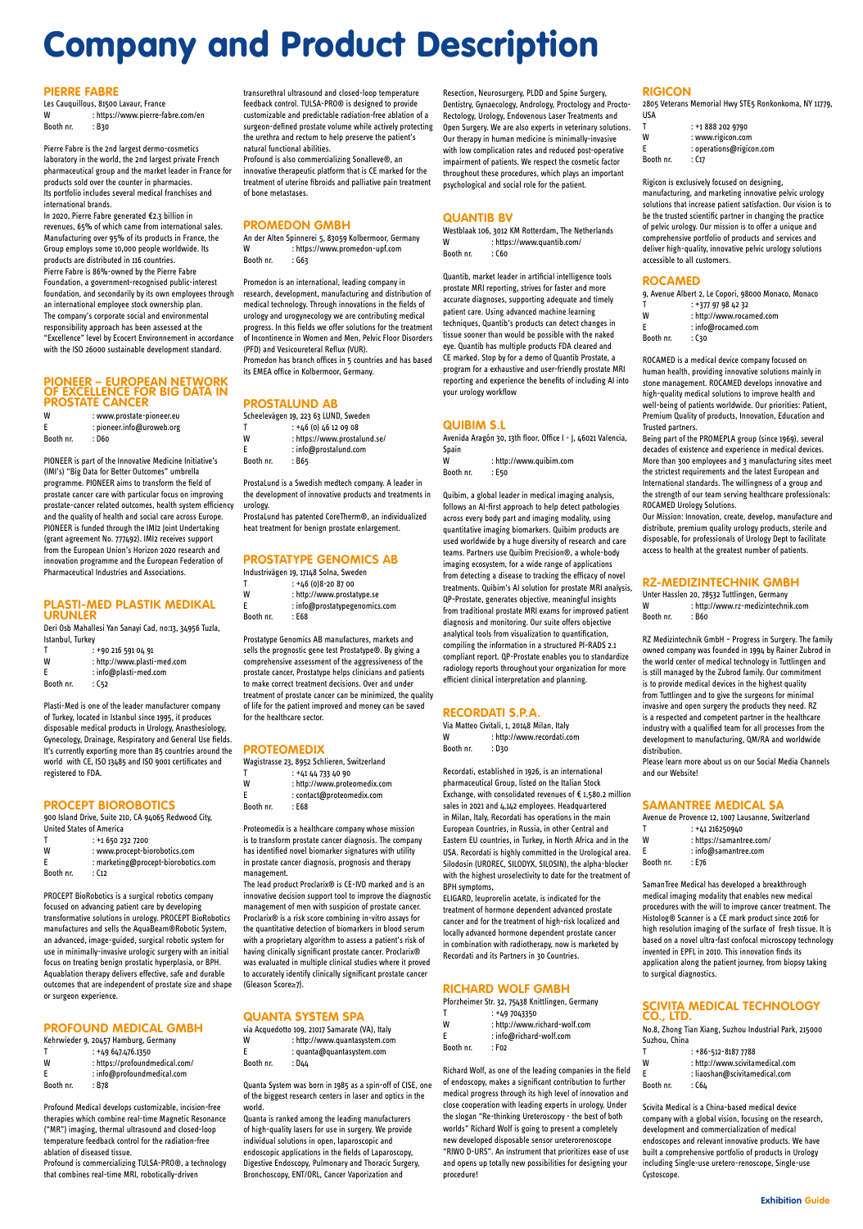Les Cauquillous, 81500 Lavaur, France W : https://www.pierre-fabre.com/en Booth nr. : B30

#### **PIERRE FABRE**

Pierre Fabre is the 2nd largest dermo-cosmetics laboratory in the world, the 2nd largest private French pharmaceutical group and the market leader in France for products sold over the counter in pharmacies. Its portfolio includes several medical franchises and international brands.

In 2020, Pierre Fabre generated €2.3 billion in revenues, 65% of which came from international sales.

Manufacturing over 95% of its products in France, the Group employs some 10,000 people worldwide. Its products are distributed in 116 countries. Pierre Fabre is 86%-owned by the Pierre Fabre Foundation, a government-recognised public-interest foundation, and secondarily by its own employees through an international employee stock ownership plan. The company's corporate social and environmental responsibility approach has been assessed at the "Excellence" level by Ecocert Environnement in accordance with the ISO 26000 sustainable development standard.

- T : +90 216 591 04 91
- W : http://www.plasti-med.com E : info@plasti-med.com
- Booth nr. : C52

#### **PIONEER – EUROPEAN NETWORK OF EXCELLENCE FOR BIG DATA IN PROSTATE CANCER**

| W         | : www.prostate-pioneer.eu |
|-----------|---------------------------|
| F         | : pioneer.info@uroweb.org |
| Booth nr. | : D60                     |

- T : +1 650 232 7200
- W : www.procept-biorobotics.com E : marketing@procept-biorobotics.com

Booth nr. : C12

PIONEER is part of the Innovative Medicine Initiative's (IMI's) "Big Data for Better Outcomes" umbrella programme. PIONEER aims to transform the field of prostate cancer care with particular focus on improving prostate-cancer related outcomes, health system efficiency and the quality of health and social care across Europe. PIONEER is funded through the IMI2 Joint Undertaking (grant agreement No. 777492). IMI2 receives support from the European Union's Horizon 2020 research and innovation programme and the European Federation of Pharmaceutical Industries and Associations.

#### **PLASTI-MED PLASTIK MEDIKAL URUNLER**

Deri Osb Mahallesi Yan Sanayi Cad, no:13, 34956 Tuzla, Istanbul, Turkey

An der Alten Spinnerei 5, 83059 Kolbermoor, Germany W : https://www.promedon-upf.com Booth nr. : G63

Plasti-Med is one of the leader manufacturer company of Turkey, located in Istanbul since 1995, it produces disposable medical products in Urology, Anasthesiology, Gynecology, Drainage, Respiratory and General Use fields. It's currently exporting more than 85 countries around the world with CE, ISO 13485 and ISO 9001 certificates and registered to FDA.

#### **PROCEPT BIOROBOTICS**

 $T$  :  $+46$  (0)  $46$  12 09 08 W : https://www.prostalund.se/ E : info@prostalund.com

Booth nr. : B65

900 Island Drive, Suite 210, CA 94065 Redwood City, United States of America

PROCEPT BioRobotics is a surgical robotics company focused on advancing patient care by developing transformative solutions in urology. PROCEPT BioRobotics manufactures and sells the AquaBeam®Robotic System, an advanced, image-guided, surgical robotic system for use in minimally-invasive urologic surgery with an initial focus on treating benign prostatic hyperplasia, or BPH. Aquablation therapy delivers effective, safe and durable outcomes that are independent of prostate size and shape or surgeon experience.

- T : +41 44 733 40 90 W : http://www.proteomedix.com
- E : contact@proteomedix.com
- Booth nr. : E68

#### **PROFOUND MEDICAL GMBH**

Kehrwieder 9, 20457 Hamburg, Germany

|           | $: +49647.476.1350$            |
|-----------|--------------------------------|
| W         | : https://profoundmedical.com/ |
| F         | : info@profoundmedical.com     |
| Booth nr. | : B78                          |

Profound Medical develops customizable, incision-free therapies which combine real-time Magnetic Resonance ("MR") imaging, thermal ultrasound and closed-loop temperature feedback control for the radiation-free ablation of diseased tissue.

Profound is commercializing TULSA-PRO®, a technology that combines real-time MRI, robotically-driven

transurethral ultrasound and closed-loop temperature feedback control. TULSA-PRO® is designed to provide customizable and predictable radiation-free ablation of a surgeon-defined prostate volume while actively protecting the urethra and rectum to help preserve the patient's natural functional abilities.

> Westblaak 106, 3012 KM Rotterdam, The Netherlands W : https://www.quantib.com/ Booth nr. : C60

Profound is also commercializing Sonalleve®, an innovative therapeutic platform that is CE marked for the treatment of uterine fibroids and palliative pain treatment of bone metastases.

#### **PROMEDON GMBH**

W : http://www.quibim.com Booth nr. : E50

Promedon is an international, leading company in research, development, manufacturing and distribution of medical technology. Through innovations in the fields of urology and urogynecology we are contributing medical progress. In this fields we offer solutions for the treatment of Incontinence in Women and Men, Pelvic Floor Disorders (PFD) and Vesicoureteral Reflux (VUR). Promedon has branch offices in 5 countries and has based its EMEA office in Kolbermoor, Germany.

> Via Matteo Civitali, 1, 20148 Milan, Italy W : http://www.recordati.com Booth nr. : D30

### **PROSTALUND AB**

Scheelevägen 19, 223 63 LUND, Sweden

ProstaLund is a Swedish medtech company. A leader in the development of innovative products and treatments in urology.

ProstaLund has patented CoreTherm®, an individualized heat treatment for benign prostate enlargement.

#### **PROSTATYPE GENOMICS AB**

- Industrivägen 19, 17148 Solna, Sweden
- $T$  :  $+46(0)8-208700$
- W : http://www.prostatype.se
- E : info@prostatypegenomics.com Booth nr. : E68

- T : +49 7043350
- W : http://www.richard-wolf.com
- E : info@richard-wolf.com

Prostatype Genomics AB manufactures, markets and sells the prognostic gene test Prostatype®. By giving a comprehensive assessment of the aggressiveness of the prostate cancer, Prostatype helps clinicians and patients to make correct treatment decisions. Over and under treatment of prostate cancer can be minimized, the quality of life for the patient improved and money can be saved for the healthcare sector.

#### **PROTEOMEDIX**

Wagistrasse 23, 8952 Schlieren, Switzerland

Proteomedix is a healthcare company whose mission is to transform prostate cancer diagnosis. The company has identified novel biomarker signatures with utility in prostate cancer diagnosis, prognosis and therapy

management. The lead product Proclarix® is CE-IVD marked and is an innovative decision support tool to improve the diagnostic management of men with suspicion of prostate cancer. Proclarix® is a risk score combining in-vitro assays for the quantitative detection of biomarkers in blood serum with a proprietary algorithm to assess a patient's risk of having clinically significant prostate cancer. Proclarix® was evaluated in multiple clinical studies where it proved to accurately identify clinically significant prostate cancer (Gleason Score≥7).

#### **QUANTA SYSTEM SPA**

via Acquedotto 109, 21017 Samarate (VA), Italy

W : http://www.quantasystem.com

E : quanta@quantasystem.com

Booth nr. : D44

Quanta System was born in 1985 as a spin-off of CISE, one of the biggest research centers in laser and optics in the world.

Quanta is ranked among the leading manufacturers of high-quality lasers for use in surgery. We provide individual solutions in open, laparoscopic and endoscopic applications in the fields of Laparoscopy, Digestive Endoscopy, Pulmonary and Thoracic Surgery, Bronchoscopy, ENT/ORL, Cancer Vaporization and

Resection, Neurosurgery, PLDD and Spine Surgery, Dentistry, Gynaecology, Andrology, Proctology and Procto-Rectology, Urology, Endovenous Laser Treatments and Open Surgery. We are also experts in veterinary solutions. Our therapy in human medicine is minimally-invasive with low complication rates and reduced post-operative impairment of patients. We respect the cosmetic factor throughout these procedures, which plays an important psychological and social role for the patient.

#### **QUANTIB BV**

Quantib, market leader in artificial intelligence tools prostate MRI reporting, strives for faster and more accurate diagnoses, supporting adequate and timely patient care. Using advanced machine learning techniques, Quantib's products can detect changes in tissue sooner than would be possible with the naked eye. Quantib has multiple products FDA cleared and CE marked. Stop by for a demo of Quantib Prostate, a program for a exhaustive and user-friendly prostate MRI reporting and experience the benefits of including AI into your urology workflow

#### **QUIBIM S.L**

Avenida Aragón 30, 13th floor, Office I - J, 46021 Valencia, Spain

Quibim, a global leader in medical imaging analysis, follows an AI-first approach to help detect pathologies across every body part and imaging modality, using quantitative imaging biomarkers. Quibim products are used worldwide by a huge diversity of research and care teams. Partners use Quibim Precision®, a whole-body imaging ecosystem, for a wide range of applications from detecting a disease to tracking the efficacy of novel treatments. Quibim's AI solution for prostate MRI analysis, QP-Prostate, generates objective, meaningful insights from traditional prostate MRI exams for improved patient diagnosis and monitoring. Our suite offers objective analytical tools from visualization to quantification, compiling the information in a structured PI-RADS 2.1 compliant report. QP-Prostate enables you to standardize radiology reports throughout your organization for more efficient clinical interpretation and planning.

#### **RECORDATI S.P.A.**

Recordati, established in 1926, is an international pharmaceutical Group, listed on the Italian Stock Exchange, with consolidated revenues of € 1,580.2 million sales in 2021 and 4,142 employees. Headquartered in Milan, Italy, Recordati has operations in the main European Countries, in Russia, in other Central and Eastern EU countries, in Turkey, in North Africa and in the USA. Recordati is highly committed in the Urological area. Silodosin (UROREC, SILODYX, SILOSIN), the alpha-blocker with the highest uroselectivity to date for the treatment of BPH symptoms,

ELIGARD, leuprorelin acetate, is indicated for the treatment of hormone dependent advanced prostate cancer and for the treatment of high-risk localized and locally advanced hormone dependent prostate cancer in combination with radiotherapy, now is marketed by Recordati and its Partners in 30 Countries.

#### **RICHARD WOLF GMBH**

Pforzheimer Str. 32, 75438 Knittlingen, Germany

Booth nr. : F02

Richard Wolf, as one of the leading companies in the field of endoscopy, makes a significant contribution to further medical progress through its high level of innovation and close cooperation with leading experts in urology. Under the slogan "Re-thinking Ureteroscopy - the best of both worlds" Richard Wolf is going to present a completely new developed disposable sensor ureterorenoscope "RIWO D-URS". An instrument that prioritizes ease of use and opens up totally new possibilities for designing your procedure!

#### **RIGICON**

2805 Veterans Memorial Hwy STE5 Ronkonkoma, NY 11779, USA

| т         | : +1 888 202 9790        |
|-----------|--------------------------|
| W         | : www.rigicon.com        |
| E         | : operations@rigicon.com |
| Booth nr. | : C17                    |

Rigicon is exclusively focused on designing, manufacturing, and marketing innovative pelvic urology solutions that increase patient satisfaction. Our vision is to be the trusted scientific partner in changing the practice of pelvic urology. Our mission is to offer a unique and comprehensive portfolio of products and services and deliver high-quality, innovative pelvic urology solutions accessible to all customers.

#### **ROCAMED**

|           | 9, Avenue Albert 2, Le Copori, 98000 Monaco, Monaco |
|-----------|-----------------------------------------------------|
|           | $: +37797984232$                                    |
| W         | : http://www.rocamed.com                            |
| F         | $:$ info@rocamed.com                                |
| Booth nr. | : ር30                                               |

ROCAMED is a medical device company focused on human health, providing innovative solutions mainly in stone management. ROCAMED develops innovative and high-quality medical solutions to improve health and well-being of patients worldwide. Our priorities: Patient, Premium Quality of products, Innovation, Education and Trusted partners.

Being part of the PROMEPLA group (since 1969), several decades of existence and experience in medical devices. More than 300 employees and 3 manufacturing sites meet the strictest requirements and the latest European and International standards. The willingness of a group and the strength of our team serving healthcare professionals: ROCAMED Urology Solutions.

Our Mission: Innovation, create, develop, manufacture and distribute, premium quality urology products, sterile and disposable, for professionals of Urology Dept to facilitate access to health at the greatest number of patients.

#### **RZ-MEDIZINTECHNIK GMBH**

Unter Hasslen 20, 78532 Tuttlingen, Germany W : http://www.rz-medizintechnik.com Booth nr. : B60

RZ Medizintechnik GmbH – Progress in Surgery. The family owned company was founded in 1994 by Rainer Zubrod in the world center of medical technology in Tuttlingen and is still managed by the Zubrod family. Our commitment is to provide medical devices in the highest quality from Tuttlingen and to give the surgeons for minimal invasive and open surgery the products they need. RZ is a respected and competent partner in the healthcare industry with a qualified team for all processes from the development to manufacturing, QM/RA and worldwide distribution.

Please learn more about us on our Social Media Channels and our Website!

#### **SAMANTREE MEDICAL SA**

| Avenue de Provence 12, 1007 Lausanne, Switzerland |                          |  |
|---------------------------------------------------|--------------------------|--|
| Т                                                 | : +41 216250940          |  |
| W                                                 | : https://samantree.com/ |  |
| F                                                 | : info@samantree.com     |  |
| Booth nr.                                         | : E76                    |  |

SamanTree Medical has developed a breakthrough medical imaging modality that enables new medical procedures with the will to improve cancer treatment. The Histolog® Scanner is a CE mark product since 2016 for high resolution imaging of the surface of fresh tissue. It is based on a novel ultra-fast confocal microscopy technology invented in EPFL in 2010. This innovation finds its application along the patient journey, from biopsy taking to surgical diagnostics.

#### **SCIVITA MEDICAL TECHNOLOGY CO., LTD.**

No.8, Zhong Tian Xiang, Suzhou Industrial Park, 215000 Suzhou, China

|           | $: +86 - 512 - 81877788$        |
|-----------|---------------------------------|
| W         | : http://www.scivitamedical.com |
| -F        | : liaoshan@scivitamedical.com   |
| Booth nr. | : C64                           |

Scivita Medical is a China-based medical device company with a global vision, focusing on the research, development and commercialization of medical endoscopes and relevant innovative products. We have built a comprehensive portfolio of products in Urology including Single-use uretero-renoscope, Single-use Cystoscope.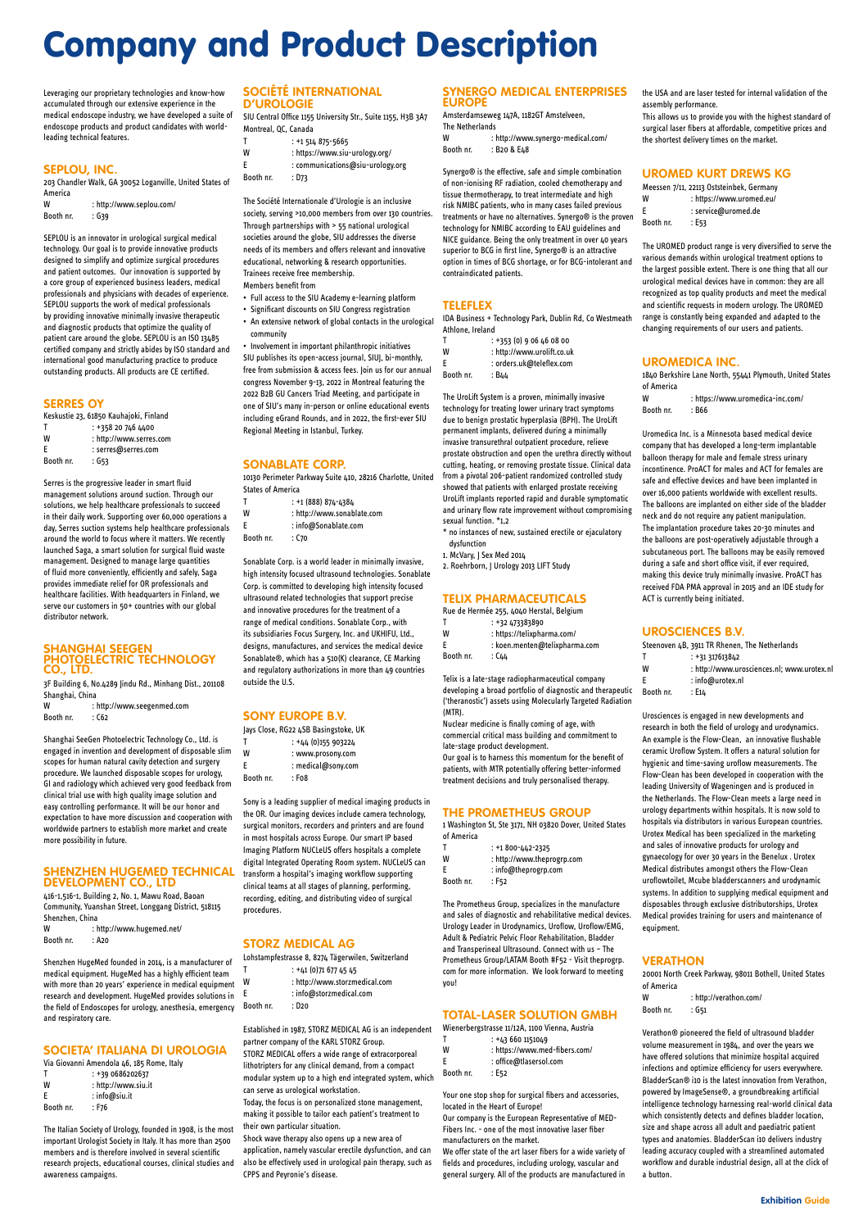Leveraging our proprietary technologies and know-how accumulated through our extensive experience in the medical endoscope industry, we have developed a suite of endoscope products and product candidates with worldleading technical features.

#### **SEPLOU, INC.**

Booth nr. : G39

203 Chandler Walk, GA 30052 Loganville, United States of America W : http://www.seplou.com/

SEPLOU is an innovator in urological surgical medical technology. Our goal is to provide innovative products designed to simplify and optimize surgical procedures and patient outcomes. Our innovation is supported by a core group of experienced business leaders, medical professionals and physicians with decades of experience. SEPLOU supports the work of medical professionals by providing innovative minimally invasive therapeutic and diagnostic products that optimize the quality of patient care around the globe. SEPLOU is an ISO 13485 certified company and strictly abides by ISO standard and international good manufacturing practice to produce outstanding products. All products are CE certified.

W : http://www.seegenmed.com Booth nr. : C62

#### **SERRES OY**

| Keskustie 23, 61850 Kauhajoki, Finland |                         |  |
|----------------------------------------|-------------------------|--|
| т                                      | : +358 20 746 4400      |  |
| W                                      | : http://www.serres.com |  |
| F                                      | : serres@serres.com     |  |
| Booth nr.                              | : G53                   |  |

W : http://www.hugemed.net/ Booth nr. : A20

Serres is the progressive leader in smart fluid management solutions around suction. Through our solutions, we help healthcare professionals to succeed in their daily work. Supporting over 60,000 operations a day, Serres suction systems help healthcare professionals around the world to focus where it matters. We recently launched Saga, a smart solution for surgical fluid waste management. Designed to manage large quantities of fluid more conveniently, efficiently and safely, Saga provides immediate relief for OR professionals and healthcare facilities. With headquarters in Finland, we serve our customers in 50+ countries with our global distributor network.

#### **SHANGHAI SEEGEN PHOTOELECTRIC TECHNOLOGY CO., LTD.**

3F Building 6, No.4289 Jindu Rd., Minhang Dist., 201108 Shanghai, China

Shanghai SeeGen Photoelectric Technology Co., Ltd. is engaged in invention and development of disposable slim scopes for human natural cavity detection and surgery procedure. We launched disposable scopes for urology, GI and radiology which achieved very good feedback from clinical trial use with high quality image solution and easy controlling performance. It will be our honor and expectation to have more discussion and cooperation with worldwide partners to establish more market and create more possibility in future.

#### **SHENZHEN HUGEMED TECHNICAL DEVELOPMENT CO., LTD**

416-1,516-1, Building 2, No. 1, Mawu Road, Baoan Community, Yuanshan Street, Longgang District, 518115 Shenzhen, China

- $T$  :  $+44$  (0)155 903224
- W : www.prosony.com
- E : medical@sony.com Booth nr. : F08

Shenzhen HugeMed founded in 2014, is a manufacturer of medical equipment. HugeMed has a highly efficient team with more than 20 years' experience in medical equipment research and development. HugeMed provides solutions in the field of Endoscopes for urology, anesthesia, emergency and respiratory care.

#### **SOCIETA' ITALIANA DI UROLOGIA**

- $: +41$  (0)71 677 45 45
- W : http://www.storzmedical.com
- E : info@storzmedical.com

Via Giovanni Amendola 46, 185 Rome, Italy

| : +39 0686202637    |
|---------------------|
| : http://www.siu.it |
| $:$ info@siu.it     |
| : F76               |
|                     |

The Italian Society of Urology, founded in 1908, is the most important Urologist Society in Italy. It has more than 2500 members and is therefore involved in several scientific research projects, educational courses, clinical studies and awareness campaigns.

Amsterdamseweg 147A, 1182GT Amstelveen, The Netherlands W : http://www.synergo-medical.com/

#### **SOCIÉTÉ INTERNATIONAL D'UROLOGIE**

SIU Central Office 1155 University Str., Suite 1155, H3B 3A7 Montreal, QC, Canada

- T : +1 514 875-5665
- W : https://www.siu-urology.org/ E : communications@siu-urology.org Booth nr. : D73
	-

The UroLift System is a proven, minimally invasive technology for treating lower urinary tract symptoms due to benign prostatic hyperplasia (BPH). The UroLift permanent implants, delivered during a minimally invasive transurethral outpatient procedure, relieve prostate obstruction and open the urethra directly without cutting, heating, or removing prostate tissue. Clinical data from a pivotal 206-patient randomized controlled study showed that patients with enlarged prostate receiving UroLift implants reported rapid and durable symptomatic and urinary flow rate improvement without compromising sexual function \*1.2

The Société Internationale d'Urologie is an inclusive society, serving >10,000 members from over 130 countries. Through partnerships with > 55 national urological societies around the globe, SIU addresses the diverse needs of its members and offers relevant and innovative educational, networking & research opportunities. Trainees receive free membership.

Members benefit from

- Full access to the SIU Academy e-learning platform • Significant discounts on SIU Congress registration
- An extensive network of global contacts in the urological

community • Involvement in important philanthropic initiatives SIU publishes its open-access journal, SIUJ, bi-monthly, free from submission & access fees. Join us for our annual congress November 9-13, 2022 in Montreal featuring the 2022 B2B GU Cancers Triad Meeting, and participate in one of SIU's many in-person or online educational events including eGrand Rounds, and in 2022, the first-ever SIU Regional Meeting in Istanbul, Turkey.

#### **SONABLATE CORP.**

10130 Perimeter Parkway Suite 410, 28216 Charlotte, United States of America

- $T$  :  $+1$  (888) 874-4384
- W : http://www.sonablate.com
- E : info@Sonablate.com
- Booth nr. : C70

- $: +436601151049$
- W : https://www.med-fibers.com/
- E : office@tlasersol.com
- Booth nr. : E52

Sonablate Corp. is a world leader in minimally invasive, high intensity focused ultrasound technologies. Sonablate Corp. is committed to developing high intensity focused ultrasound related technologies that support precise and innovative procedures for the treatment of a range of medical conditions. Sonablate Corp., with its subsidiaries Focus Surgery, Inc. and UKHIFU, Ltd., designs, manufactures, and services the medical device Sonablate®, which has a 510(K) clearance, CE Marking and regulatory authorizations in more than 49 countries outside the U.S.

#### **SONY EUROPE B.V.**

Jays Close, RG22 4SB Basingstoke, UK

Sony is a leading supplier of medical imaging products in the OR. Our imaging devices include camera technology, surgical monitors, recorders and printers and are found in most hospitals across Europe. Our smart IP based Imaging Platform NUCLeUS offers hospitals a complete digital Integrated Operating Room system. NUCLeUS can transform a hospital's imaging workflow supporting clinical teams at all stages of planning, performing, recording, editing, and distributing video of surgical procedures.

#### **STORZ MEDICAL AG**

Lohstampfestrasse 8, 8274 Tägerwilen, Switzerland

Booth nr. : D20

Established in 1987, STORZ MEDICAL AG is an independent partner company of the KARL STORZ Group. STORZ MEDICAL offers a wide range of extracorporeal lithotripters for any clinical demand, from a compact modular system up to a high end integrated system, which

can serve as urological workstation.

W : http://verathon.com/ Booth nr. : G51

Today, the focus is on personalized stone management, making it possible to tailor each patient's treatment to their own particular situation.

Shock wave therapy also opens up a new area of application, namely vascular erectile dysfunction, and can also be effectively used in urological pain therapy, such as CPPS and Peyronie's disease.

#### **SYNERGO MEDICAL ENTERPRISES EUROPE**

Booth nr. : B20 & E48

Synergo® is the effective, safe and simple combination of non-ionising RF radiation, cooled chemotherapy and tissue thermotherapy, to treat intermediate and high risk NMIBC patients, who in many cases failed previous treatments or have no alternatives. Synergo® is the proven technology for NMIBC according to EAU guidelines and NICE guidance. Being the only treatment in over 40 years superior to BCG in first line, Synergo® is an attractive option in times of BCG shortage, or for BCG-intolerant and contraindicated patients.

#### **TELEFLEX**

IDA Business + Technology Park, Dublin Rd, Co Westmeath Athlone, Ireland

- T : +353 (0) 9 06 46 08 00 W : http://www.urolift.co.uk
- E : orders.uk@teleflex.com

Booth nr. : B44

- \* no instances of new, sustained erectile or ejaculatory dysfunction
- 1. McVary, J Sex Med 2014
- 2. Roehrborn, J Urology 2013 LIFT Study

#### **TELIX PHARMACEUTICALS**

Rue de Hermée 255, 4040 Herstal, Belgium

|           | : +32 473383890               |
|-----------|-------------------------------|
| W         | : https://telixpharma.com/    |
| F         | : koen.menten@telixpharma.com |
| Booth nr. | : C44                         |

Telix is a late-stage radiopharmaceutical company developing a broad portfolio of diagnostic and therapeutic ('theranostic') assets using Molecularly Targeted Radiation (MTR).

Nuclear medicine is finally coming of age, with commercial critical mass building and commitment to late-stage product development. Our goal is to harness this momentum for the benefit of

patients, with MTR potentially offering better-informed treatment decisions and truly personalised therapy.

#### **THE PROMETHEUS GROUP**

1 Washington St, Ste 3171, NH 03820 Dover, United States of America

| T         | $: +1800 - 442 - 2325$     |
|-----------|----------------------------|
| W         | : http://www.theprogrp.com |
| E         | $:$ info@theprogrp.com     |
| Booth nr. | : F52                      |

The Prometheus Group, specializes in the manufacture and sales of diagnostic and rehabilitative medical devices. Urology Leader in Urodynamics, Uroflow, Uroflow/EMG,

Adult & Pediatric Pelvic Floor Rehabilitation, Bladder and Transperineal Ultrasound. Connect with us – The Prometheus Group/LATAM Booth #F52 - Visit theprogrp. com for more information. We look forward to meeting you!

#### **TOTAL-LASER SOLUTION GMBH**

Wienerbergstrasse 11/12A, 1100 Vienna, Austria

Your one stop shop for surgical fibers and accessories, located in the Heart of Europe!

Our company is the European Representative of MED-Fibers Inc. - one of the most innovative laser fiber manufacturers on the market.

We offer state of the art laser fibers for a wide variety of fields and procedures, including urology, vascular and general surgery. All of the products are manufactured in

the USA and are laser tested for internal validation of the assembly performance.

This allows us to provide you with the highest standard of surgical laser fibers at affordable, competitive prices and the shortest delivery times on the market.

#### **UROMED KURT DREWS KG**

|           | Meessen 7/11, 22113 Oststeinbek, Germany |
|-----------|------------------------------------------|
| W         | : https://www.uromed.eu/                 |
| F         | : service@uromed.de                      |
| Booth nr. | : E53                                    |

The UROMED product range is very diversified to serve the various demands within urological treatment options to the largest possible extent. There is one thing that all our urological medical devices have in common: they are all recognized as top quality products and meet the medical and scientific requests in modern urology. The UROMED range is constantly being expanded and adapted to the changing requirements of our users and patients.

#### **UROMEDICA INC.**

1840 Berkshire Lane North, 55441 Plymouth, United States of America

W : https://www.uromedica-inc.com/ Booth nr. : B66

Uromedica Inc. is a Minnesota based medical device company that has developed a long-term implantable balloon therapy for male and female stress urinary incontinence. ProACT for males and ACT for females are safe and effective devices and have been implanted in over 16,000 patients worldwide with excellent results. The balloons are implanted on either side of the bladder neck and do not require any patient manipulation. The implantation procedure takes 20-30 minutes and the balloons are post-operatively adjustable through a subcutaneous port. The balloons may be easily removed during a safe and short office visit, if ever required, making this device truly minimally invasive. ProACT has received FDA PMA approval in 2015 and an IDE study for ACT is currently being initiated.

#### **UROSCIENCES B.V.**

|           | Steenoven 4B, 3911 TR Rhenen, The Netherlands |
|-----------|-----------------------------------------------|
| т         | $: +31317613842$                              |
| W         | : http://www.urosciences.nl; www.urotex.nl    |
| F         | $:$ info@urotex.nl                            |
| Booth nr. | : E14                                         |

Urosciences is engaged in new developments and research in both the field of urology and urodynamics. An example is the Flow-Clean, an innovative flushable ceramic Uroflow System. It offers a natural solution for hygienic and time-saving uroflow measurements. The Flow-Clean has been developed in cooperation with the leading University of Wageningen and is produced in the Netherlands. The Flow-Clean meets a large need in urology departments within hospitals. It is now sold to hospitals via distributors in various European countries. Urotex Medical has been specialized in the marketing and sales of innovative products for urology and gynaecology for over 30 years in the Benelux . Urotex Medical distributes amongst others the Flow-Clean uroflowtoilet, Mcube bladderscanners and urodynamic systems. In addition to supplying medical equipment and disposables through exclusive distributorships, Urotex Medical provides training for users and maintenance of

equipment.

#### **VERATHON**

20001 North Creek Parkway, 98011 Bothell, United States of America

Verathon® pioneered the field of ultrasound bladder volume measurement in 1984, and over the years we have offered solutions that minimize hospital acquired infections and optimize efficiency for users everywhere. BladderScan® i10 is the latest innovation from Verathon, powered by ImageSense®, a groundbreaking artificial intelligence technology harnessing real-world clinical data which consistently detects and defines bladder location, size and shape across all adult and paediatric patient types and anatomies. BladderScan i10 delivers industry leading accuracy coupled with a streamlined automated workflow and durable industrial design, all at the click of a button.